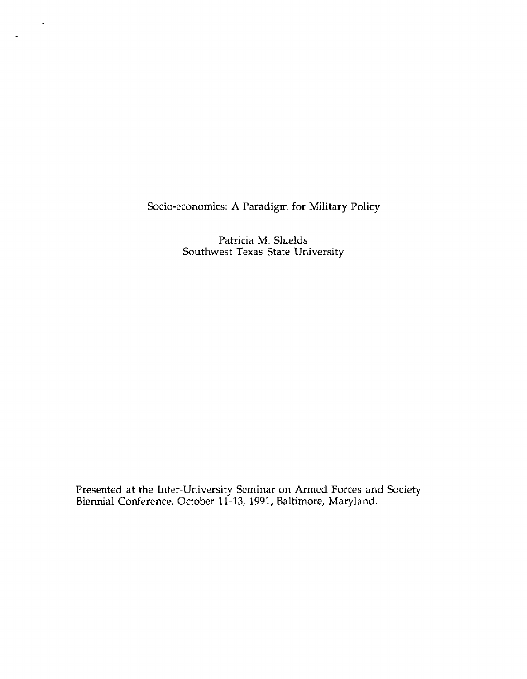Socio-economics: **A** Paradigm for Military Policy

 $\hat{\textbf{r}}$ 

Patricia M. Shields Southwest Texas State University

**Presented at the** Inter-University Seminar on **Armed** Forces and **Society**  Biennial **Conference,** October 11-13, 1991, Baltimore, Mary land.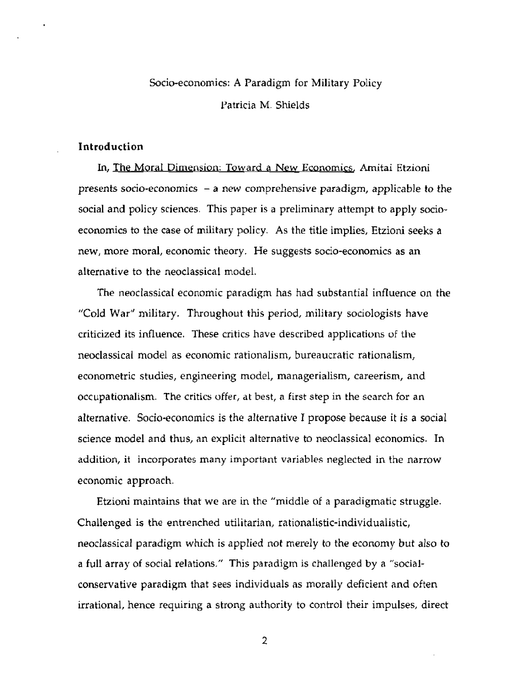# Socio-economics: **A** Paradigm for **Military** Policy Patricia M. Shields

## **Introduction**

**Internal Socio-economics:** A Paradigm for Military Policy<br>
Patricia M. Shields<br> **Informal Dimension:** Toward a New Economics. Amitai Etzioni<br> **In, The Moral Dimension:** Toward a New Economics. Amitai Etzioni<br> **Internal So** presents socio-economics - a new comprehensive paradigm, applicable *to* **the social and** policy sciences. This **paper is** a preliminary attempt to **apply** socioeconomics to the case of military policy. **As** the title implies, Etzioni **seeks <sup>a</sup>** new, **more** moral, economic theory. **He** suggests socio-economics **as an**  alternative to the neoclassical model.

**The** neoclassical economic paradigm has had substantial influence on **the**  "Cold War'' military. Throughout this period, military sociologisfs have criticized its influence. These critics have described applications of the neoclassical model as economic rationalism, bureaucratic rationalism, econometric studies, engineering model, managerialism, careerism, and occupationalism. The **critics offer, at** best, **a** first **step** in the scarch for **an**  alternative. Socio-economics is the alternative **T** propose because it is **a** social science model and thus, an **explicit** alternative to neoclassical economics. **In**  addition, it incorporates many important **variables neglected** in **the** narrow economic **approach.** 

**Etzioni** maintains that we are in the "middle of a paradigmatic struggle. **Challenged is the entrenched** utilitarian, **rationalistic-individualistic,**  neoclassical paradigm **which** is **applied** not merely to **the** economy **but also to a full array of** social relations." This paradigm **is** challenged **by a** "socialconservative **paradigm** that sees individuals as morally deficient **and** often irrational, hence requiring **a** strong authority to control their impulses, direct

 $\overline{2}$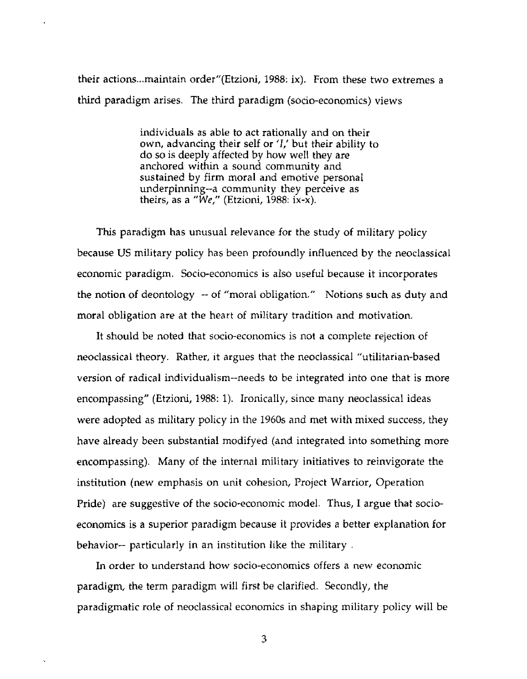their actions ... maintain order"(Etzioni, **1988:** ix). From these **two** extremes a third paradigm arises. The third paradigm (socio-economics) views

> individuals **as** able to act rationally and on their own, **advancing their self or** 'I,' but their ability to do so is **deeply affected** by how **well they are**  anchored within **a** sound community and sustained **by** firm moral and emotive personal underpinning--a community they perceive **as theirs,** as a **"We,"** (Etzioni, 1988: **ix-x).**

This paradigm **has** unusual **relevance** for the study **of** military policy because US military policy has been profoundly influenced by the neoclassical economic paradigm. Socio-economics is also useful **because** it incorporates the notion **of** deontology -- of "moral obligation." Notions **such** as duty and moral obligation are at the heart of military tradition and motivation.

It should be noted that socio-economics is not a complete **rejection** of **neoclassical** theory. Rather, it argues that the neoclassical "utilitarian-based version of radical individualism--needs to be integrated into **one** that is more encompassing" (Etzioni, 1988: 1). Ironically, since many neoclassical **ideas**  were **adopted** as military policy in the 1960s and met **with** mixed success, they have already been substantial rnodifyed (and integrated into something more encompassing). Many of the internal military initiatives to reinvigorate the institution (new emphasis on unit cohesion, Project Warrior, Operation **Pride) are** suggestive **of** the socio-economic model. Thus, I argue **that** socioeconomics is a superior paradigm because it provides a better explanation for behavior-- particularly in an institution like the military .

**In** order **to** understand how socio-economics offers **a** new economic **paradigm,** the term paradigm will first be clarified. Secondly, the paradigmatic **role** of neoclassical economics in shaping military policy will **be**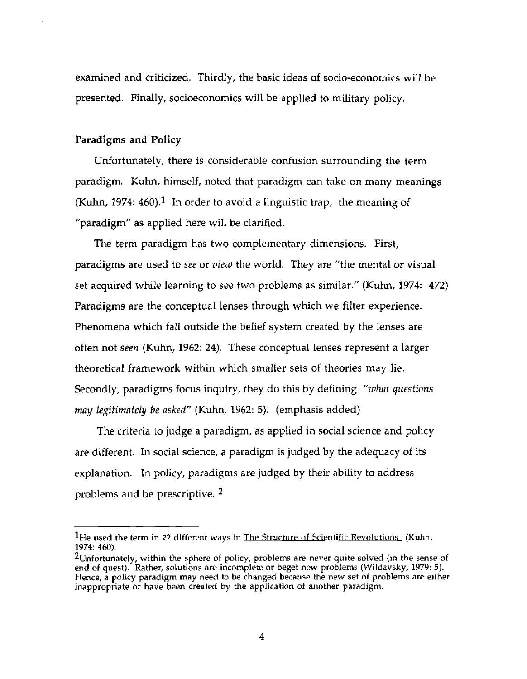**examined** and criticized. Thirdly, the basic **ideas of** socio-economics **will** be **presented.** Finally, socioeconomics will be applied to military policy.

## **Paradigms and Policy**

Unfortunately, **there** is considerable confusion surrounding the term paradigm. **Kuhn,** himself, noted that paradigm can **take on** many **meanings**  (Kuhn, 1974: 460).<sup>1</sup> In order to avoid a linguistic trap, the meaning of **"paradigm" as** applied here will be clarified.

**The** term **paradigm has** two complementary dimensions. First, **paradigms are** used to see or *view* **the** world. They are **"the** mental or **visual**  set acquired while learning to see two problems as similar." (Kuhn, 1974: 472) Paradigms are the conceptual lenses through which **we** filter **experience.**  Phenomena which falt outside the belief system created by the lenses are often not **seen** (Kuhn, 1962: **24). These** conceptual lenses represent **a** larger theoretical framework within which smaller sets of theories **may** lie. Secondly, paradigms focus inquiry, they do this by defining *"whnt questions may legitimately be asked"* (Kuhn, 1962: 5). (emphasis added)

The criteria to judge a paradigm, as **applied** in social science and policy **are** different. In social science, a paradigm is judged by the adequacy of its **explanation.** In policy, paradigms are judged by their ability to address problems and be prescriptive. **2** 

<sup>&</sup>lt;sup>1</sup>He used the term in 22 different ways in The Structure of Scientific Revolutions (Kuhn, **1974: 460).** 

**<sup>2~</sup>nfortunately, within the sphere** of **policy,** problems **are never quite solved** (in **the sense** of **end of quest). Rather, solutions are incomplete** or **beget** new **problems (Wildavsky, 1979: 5). Hence, a policy** paradigm may **need** to **be changed because the** new **set of** problems **are either inappropriate** or **have been created** by the **application** of **another** paradigm.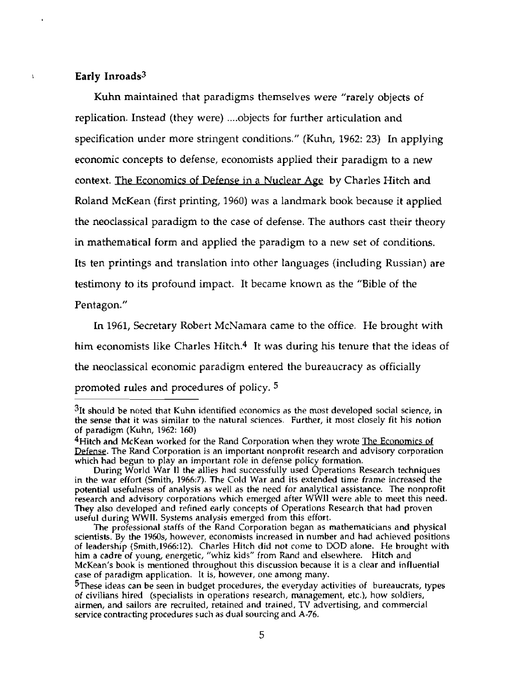## <sup>1</sup>**Early Inroads3**

**Kuhn maintained that** paradigms themselves were **"rarely** objects of **replication.** Instead **(they** were) .... objects for further articulation and specification under more stringent conditions. " **(Kuhn,** 1962: **23) h applying**  economic concepts **to** defense, economists applied their paradigm to a new **context. The Economics of Defense in a Nuclear Age by Charles Hitch and** Roland McKean (first printing, 1960) was a landmark book because it applied the neoclassical paradigm to **the** case of defense. The authors cast their theory **in** mathematical form and applied the paradigm to a **new set** of conditions. Its ten printings and translation into other languages (including Russian) are testimony to its profound impact. It became known **as the "Bible** of the Pentagon."

**In** 1961, **Secretary** Robert McNarnara came to the office. He brought with him economists like Charles Hitch.4 It **was** during his tenure that the ideas of the neoclassical economic paradigm entered **the** bureaucracy as officially promoted rules and procedures of policy. **<sup>5</sup>**

<sup>31</sup>t should be noted that **Kuhn** identified economics **as** the most developed social **science,** in the sense that it **was** similar **to** the **natural sciences. Further, it** most closely **fit** his notion of paradigm (Kuhn, 1962: 160)

<sup>&</sup>lt;sup>4</sup>Hitch and McKean worked for the Rand Corporation when they wrote The Economics of **Defense.** The Rand Corporation is an important nonprofit research and advisory corporation **which had begun** to play an important role in defense policy formation.

During World War **11 the** allies **had** successfully used Operations Research techniques in the war effort (Smith, **1966:7).** The **Cdd** War and its extended time frame increased the potential usefulness of analysis **as** well as the need for analytical assistance. The nonprofit research and advisory corporations which emerged after WWll were able to meet this need. They **also** developed **and** refined **early** concepts of Operations Research that had proven **useful** during WW **11.** Systems **analysis** emerged from this effort.

The professional staffs of the Rand Corporation began as mathematicians and physical  $s$ cientists. By the 1960s, however, economists increased in number and had achieved positions **of leadership (Srnith,l96&12).** Charles **Hitch did not** come to **DOD** alone. **He** brought with him a cadre of **young,** energetic, "whiz kids" from Rand and elsewhere. **Hitch and**  McKean's book is mentioned throughout this discussion **because** it is **a clear and influential**  case of **paradigm** application. It is, however, one **among** many.

<sup>&</sup>lt;sup>5</sup>These ideas can be seen in budget procedures, the everyday activities of bureaucrats, types of **civilians** hired **(specialists in** operations **research,** management, etc.), how soldiers, airmen, and sailors are recruited, retained and trained, TV advertising, and commercial service contracting procedures such as dual **sourcing and A-76.**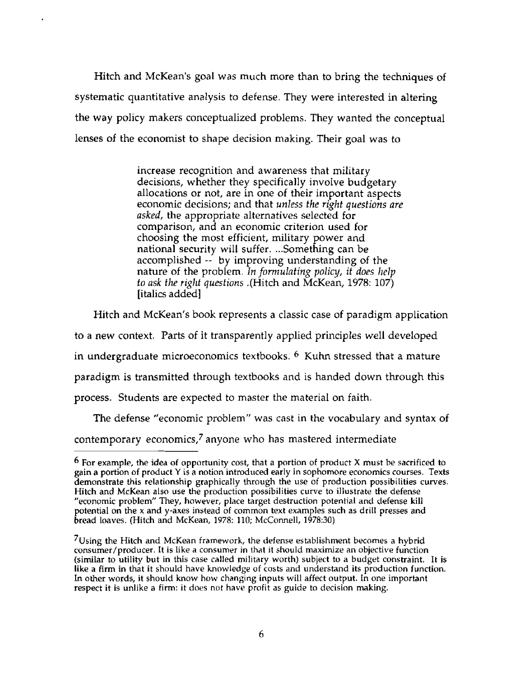Hitch **and** McKean's goal was much more than **to** bring the **techniques** of systematic quantitative analysis to **defense.** They were interested in altering the **way** policy makers conceptualized problems. They wanted the conceptual lenses of the economist to shape decision making. Their goal was to

> increase recognition and awareness that military decisions, whether they specifically involve budgetary allocations or not, are in one of their important aspects economic decisions; and **that** *unless* **the** *right questions* are asked, the appropriate alternatives selected for comparison, and an economic criterion **used** for choosing the most efficient, military power **and**  national **security** will suffer. ... Something can be accomplished -- **by** improving understanding of the nature of **the** problem. **h** fomzulafing policy, **it** *does help*  to *ask* **fhe rigIlt questions** .(Hitch and McKean, **1978:** 107) [italics added]

Hitch and McKean's book represents a classic case of paradigm **application** 

to a **new** context. Parts **of** it transparent1 **y** applied principIes well developed

in undergraduate microeconomics textbooks. *6* Kuhn stressed that a mature

paradigm is transmitted through textbooks and is handed down through this

process. Students are expected to master the material on faith.

**The defense** "economic problem" was cast in the vocabulary and syntax of

contemporary economics,7 anyone who has mastered intermediate

**For example,** the ided of opportunity cost, that a portion of product **X must be sacrificed** to **gain** a portion of product Y is a notion introduced early in sophomore economics courses. Texts demonstrate this relationship graphically through the use of production possibilities curves. Hitch **and** McKean **also** use the production possibilities curve to illustrate **the** defense "economic problem" They, however, place target destruction potential and defense kill potential on the x and **y-axes instead** of common **text examples such** as **drill** presses and bread loaves. (Hitch and **McKean,** 1978: 110; McConnell, 197830)

<sup>&</sup>lt;sup>7</sup>Using the Hitch and McKean framework, the defense establishment becomes a hybrid consumer/producer. It is like a consumer in that it should maximize an objective function (similar to **utility** but in this case called military worth) subject to a budget constraint. It is like a firm **in that it should have knowledge** of costs **and** understand its production function. In other words, it should know how changing **inputs** will affect output. In one important respect it **is** unlike a firm: it does not **have** profit as guide to decision making.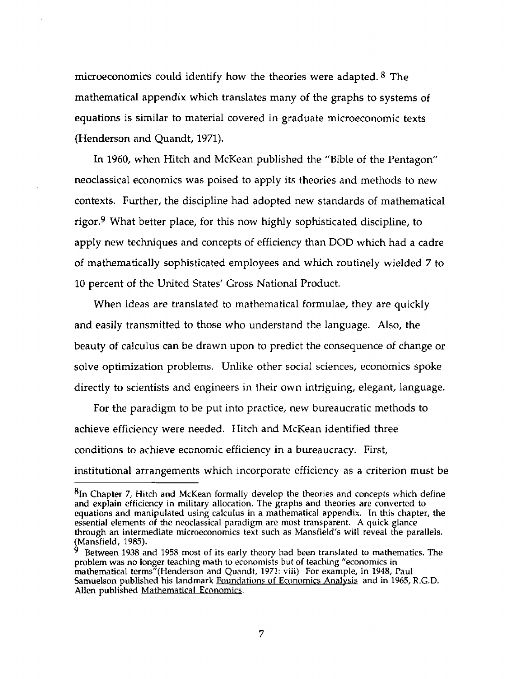microeconomics could identify how the theories were adapted. <sup>8</sup> The mathematical **appendix** which translates many of the graphs to systems of equations is similar to material covered in graduate microeconomic texts (Henderson and Quandt, **1971).** 

**In** 1960, when Hitch and McKean published the "Bible of the Pentagon" neoclassical economics was poised to apply its theories and methods to new contexts. Further, the discipline had adopted new standards of mathematical rigor.<sup>9</sup> What better place, for this now highly sophisticated discipline, to apply new techniques and concepts of efficiency than DOD which had a **cadre**  of mathematically sophisticated employees and which routinely wielded 7 to 10 percent **of** the United States' Gross National Product.

When ideas are translated to mathematical formulae, they are quickly and easily transmitted to those who understand the language. **Also, the**  beauty **of** calculus **can** be drawn upon to **predict** the consequence of change or solve optimization problems. Unlike other social sciences, economics spoke directly to scientists and engineers in their own intriguing, elegant, language.

For the paradigm to be put into practice, new bureaucratic methods to achieve efficiency were needed. Hitch and McKean identified three conditions to achieve economic efficiency in a bureaucracy. First, institutional arrangements which incorporate efficiency as a criterion must **be** 

**<sup>81</sup>n** Chapter 7, Hitch **and** McKean formally develop the theories and concepts which define and explain efficiency in military allocation. The graphs and theories are converted to equations and **manipulated using calcuIus** in **a mathematical** appendix. **In** this chapter, the essential elements of the neoclassical paradigm are most transparent. **A** quick glance through an intermediate microeconomics text such as Mansfield's will reveal the parallels. (Mansfield, 1985).

**Between 1938** and **1958** most uf its early theory had been translated to mathematics. The problem was no longer teaching math to ecvnonlists but **of teaching** "economics in mathematical terms"(Henderson and Quandt, 1971: viii) For example, in 1948, Paul **Samuelson** published his landmark Foundations **uf EconornicsAnalvsis and in 19k5,** R.G.D. Allen published Mathematical Economics.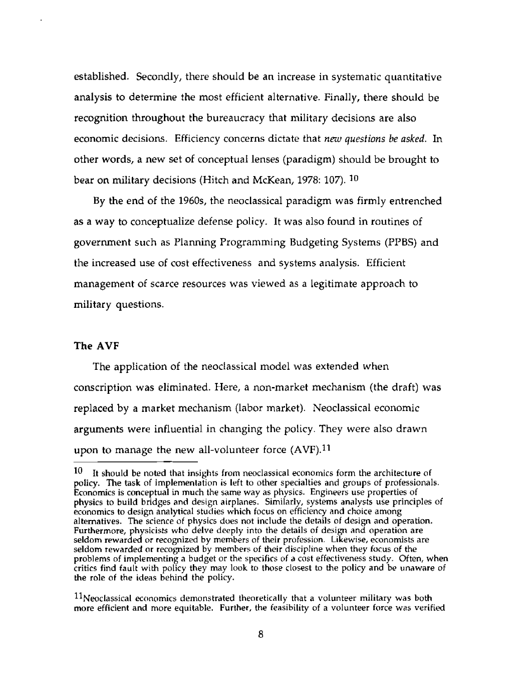**established.** Secondly, there should be an increase in systematic quantitative **analysis to determine** the **most efficient alternative. Finally, there should be**  recognition throughout the bureaucracy that military decisions **are** also *economic decisions. Efficiency concerns dictate that new questions be asked.* **In** other words, **a** new set **of conceptual lenses (paradigm) should be brought to bear on military** decisions (Hitch **and** McKean, **1978:** 107). **30** 

**By the end** of **the** 1960s, **the neoclassical paradigm was firmly** entrenched **as a way to conceptualize defense policy. It** was also **found** in routines of **government such as Planning Programming Budgeting Systems (PPBS) and the increased use of cost** effectiveness **and systems analysis. Efficient management of scarce resources was viewed as a legitimate approach to military questions.** 

## **The AVF**

The application **of the** neoclassical model was extended when conscription **was** eliminated. Here, **a non-market mechanism (the draft) was replaced by** a **market** mechanism (labor market). Neoclassical **economic arguments were influential in changing the policy. They were** also drawn **upon to manage the new all-volunteer force (AVF).11** 

lo **It should be noted that insights from neoclassical economics form the architecture of policy. The task of implementation is left to other specialties and groups of professionals. Economics is conceptual in much the same way** as **physics. Engineers use properties of physics to build bridges and design airplanes. Similarly, systems analysts use principles of economics to design analytical studies which focus on efficiency and choice among alternatives. The science of physics dues** not **include the details of design and operation. Furthermore, physicists who delve deeply into the details of design** and **operation are seldom rewarded or recognized by members** of **their profession. Likewise,** economists **are**  seldom rewarded or recognized by members of their discipline when they focus of the **problems of implementing a budget** or **the specilics of a cost effectiveness study. Often, when critics find fault with policy they may look to those closest** to **the policy and bt. unaware** of **the role af the ideas behind the policy.** 

**ll~eoclassical economics demonstrated theoretically** that **a volunteer military was both more efficient and more equitable. Further, the feasibility of a volunteer force was verified**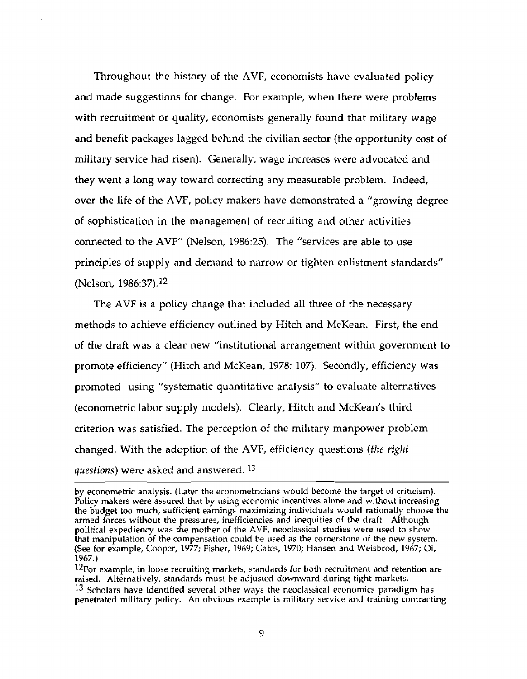Throughout the history of the AVF, economists have evaluated policy and made suggestions for change. For example, when there were problems with recruitment or quality, economists generally found that military wage **and benefit packages** lagged behind the civilian sector (the opportunity cost of military service had risen). Generally, wage increases were advocated and **they went a** long way toward correcting **any** measurable problem. Indeed, **over the life** of the AVF, policy makers have demonstrated a "growing degree **of sophistication** in the management of recruiting and other activities connected to the AVF" (Nelson, 1986:25). The "services are able to use principles of **supply** and demand to narrow or tighten enlistment standards" (Nelson, **1986:37).12** 

The **AVF** is a policy change that included all three of the necessary methods to achieve efficiency outlined by Hitch and McKean. **First, the** end of **the draft** was a clear new "institutional arrangement within government **to**  promote efficiency" (Hitch and McKean, 1978: 107). Secondly, efficiency was promoted using "systematic quantitative analysis" to evaluate alternatives (econometric labor supply models). Clearly, Hitch and McKean's third criterion was satisfied. The perception of the military manpower problem changed. With the adoption of the AVF, efficiency questions **(fhe** *rig111*  questions) were asked and answered. **<sup>13</sup>**

**by** econometric analysis. (Later the econometricians would become the target of criticism). Policy makers **were** assured **hat** by using economic incentives alone and without increasing the budget too much, sufficient earnings maximizing individuals **would** rationally choose the armed **forces** without the pressures, inefficiencies and inequities of the draft. Although political expediency **was** the mother of the AVF, neoclassical studies were used to show that manipulation **of** the compensation could **be used as** the **corners totle** ol the new system. (See for example, Cooper, 1977; Fisher, 1969; Gates, 1970; **Hansen** and Weisbrod, 1967; Oi, 1967.)

**<sup>12~</sup>or** example, in **loose** recruiting markets, standards for both recruitment and re **tention** are raised. Alternatively, standards must be **adjusted** downward during tight markets.

**<sup>13</sup>** Scholars have identified several other **ways the** neoclassical economics paradigm has penetrated military policy. An **obvious** example is military service and training contracting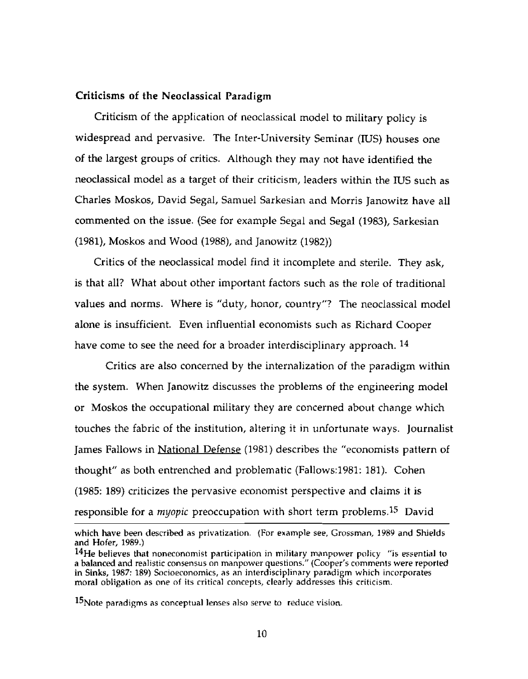## **Criticisms of the NeoclassicaI Paradigm**

Criticism of the application of neoclassical model to military policy is widespread and pervasive. The Inter-University Seminar (IUS) houses one of the largest groups of critics. Although they may not have identified the neoclassical model as a target of their criticism, leaders within the IUS such as Charles **Moskos,** David Segal, Samuel Sarkesian and Morris Janowitz have all commented on the issue. (See for example **Segal** and Segal **(1983),** Sarkesian **(1981), Moskos and Wood (1988), and Janowitz (1982))** 

Critics of the neoclassical model find it incomplete and sterile. They ask, is that all? What about other important factors such as the role of traditional **values** and norms. Where is "duty, honor, country"? The neoclassical model alone is insufficient. Even influential economists such as Richard Cooper have come to see the need for a broader interdisciplinary approach. **<sup>14</sup>**

Critics are also concerned **by** the internalization of the paradigm within the system. When Janowitz discusses the problems of the engineering **model**  or Moskos the occupational military they are concerned about change which touches the fabric of the institution, **a1** tering it in unfortunate ways. Journalist James Fallows in National Defense (1981) describes the "economists pattern of thought" as both entrenched and problematic (Fallows:1981: 181). Cohen (1985: 189) criticizes the pervasive economist **perspective and** claims it is responsible for a myopic preoccupation with short term problems.15 David

**which have** been described as privatization. (For example see, Grossman, 1984 **and Shields**  and **Hofer, 1989.)** 

<sup>14</sup>He believes that noneconomist participation in military manpower policy "is essential to a balanced and realistic consensus **nn** manpower questions." (Cooper's comments were **reported in Sinks, 1987: 189)** Sncioeconomics, as **an** interdisciplinary paradigm which **incvrporates moral obligation as** one nf **its** critical concepts, clearly addresses **this** criticism.

**<sup>15</sup> Note paradigms as conceptual lenses also serve to <b>reduce** vision.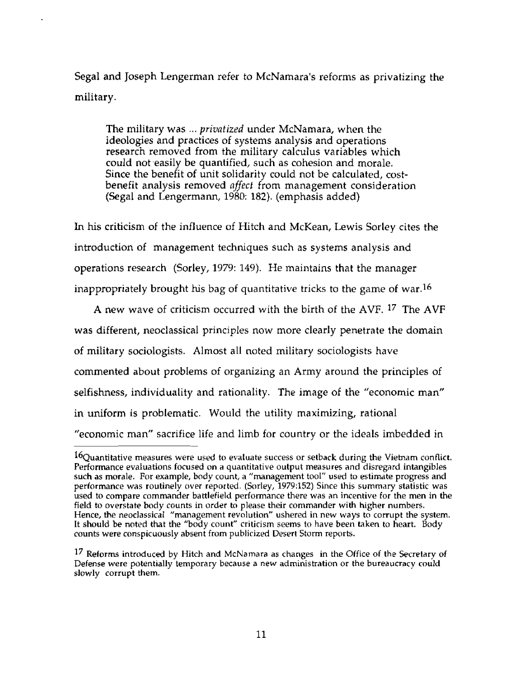Segal and Joseph Lengerman refer to McNamara's reforms **as privatizing the**  military.

The military was ... **privatized** under McNamara, when the ideologies and practices of systems analysis and operations research removed from the military calculus variables which could not easily be quantified, such as cohesion and morale. Since the benefit of unit solidarity could not be calculated, costbenefit analysis removed *affect* from management consideration **(Segal and** Lengermann, 1980: **182).** (emphasis added)

**h** his criticism of the influence of Hitch and McKean, Lewis **Sorley** cites the introduction of management techniques such as systems analysis and operations **research** (Sorley, 1979: 149). He maintains that the manager **inappropriately** brought his bag of quantitative tricks to the game of **war.16** 

**A** new wave of criticism occurred with the birth of **the** AVF. 17 The **AVF was different,** neoclassical principles now more clearly penetrate the domain of military sociologists. Almost all noted military sociologists have commented about problems of organizing an Army around the **principles** of selfishness, individuality and rationality. The image of the "economic man" in uniform is problematic. Would the utility maximizing, rational "economic man" sacrifice life and limb for country or the ideals imbedded in

<sup>&</sup>lt;sup>16</sup>Quantitative measures were used to evaluate success or setback during the Vietnam conflict. Performance evaluations **focused** on a **quantitative output** measures and disregard intangibles **such** as morale. For **example,** body count, a "management tool" used to **estimate** progress **and performance was** routinely *over* **reported.** (Sorley, **1979:152) Since** this summary statistic was used to compare commander battlefield performance there was an incentive **for the** men in the field to overstate body counts in order to please their commander **with** higher numbers. Hence, the neoclassical "management revolution" ushered in new **ways** to corrupt the system. It should be noted that the "body count" criticism seems to have been taken to heart. Body counts were **conspicuously** absent from **publicjzeri** Desert Storm reports.

<sup>1&#</sup>x27; Reforms **introduced** by Hitch and McNamara as **changes** in the Office of the Secretary of Defense **were poten tially** temporary because a **new** administration or the bureaucracy could slowly corrupt them.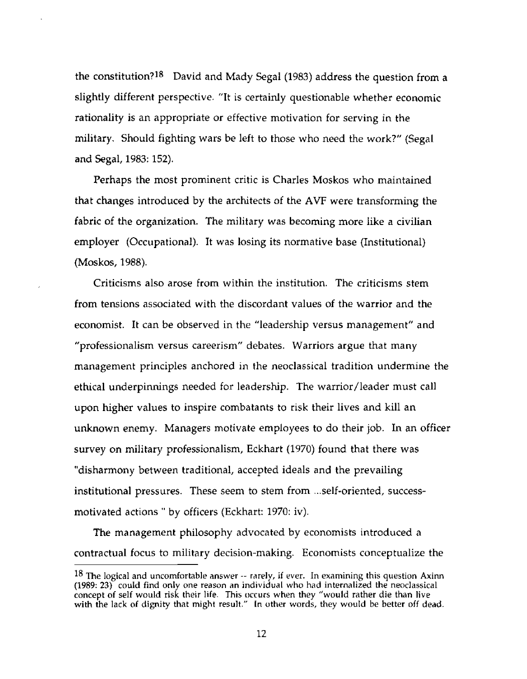the constitution?lB David and Mady **Segal (1983)** address the question from a slightly different perspective. "It is certainly questionable whether economic rationality is an appropriate or effective motivation for serving in the military. Should fighting wars be left to those who need the work?" (Segal and **Segal, 1983: 152).** 

Perhaps the most prominent critic is Charles Moskos who maintained that **changes** introduced by the architects of the AVF were transforming the fabric of the organization. The military was becoming more like a civilian employer (Occupational). Tt was losing its normative base (Institutional) **(Moskos,** 1988).

Criticisms also arose from within the institution. The criticisms stem from tensions associated with the discordant values of the **warrior** and the economist. **It** can be observed in the "leadership versus management" and "professionalism versus careerism" debates. Warriors **argue** that many management principles anchored in the neoclassical tradition undermine the ethical underpinnings needed for leadership. The warrior/leader must call upon **higher** values to inspire combatants to risk their lives and kill an unknown enemy. Managers motivate employees to do their job. In an officer survey on military professionalism, Eckhart (1970) found that there was "disharmony between traditional, accepted ideals and the prevailing institutional pressures. These seem to stem from ... self-oriented, successmotivated actions " by officers (Eckhart: 1970: iv).

**The** management philosophy advocated by economists introduced **a**  contractual focus to military decision-making. Economists conceptualize the

**<sup>18</sup> The logical and uncomfortable answer** -- **rarely, if ever. In examining this question Axinn (1989: 23) could find only one** reason **an individual** who **had internalized the neoclassical concept of self would risk their life. This occurs when they "would** rather die **than live with the lack of dignity that** might **result."** In **other words, they would be better off Jend.**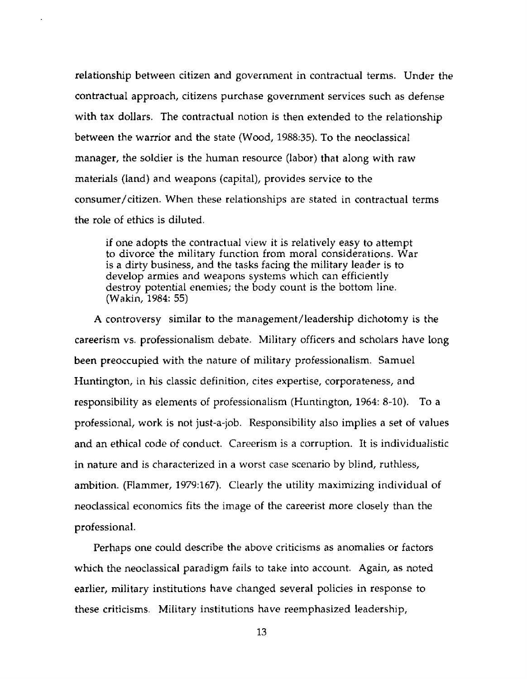relationship between citizen and government in contractual terms. Under the contractual approach, citizens purchase government services such as defense with tax dollars. The contractual notion is then extended to the relationship between the warrior and the state (Wood, **1988:35).** To the neoclassical manager, the soldier is the human resource (labor) **that** along with raw materials (land) and weapons (capital), provides service to the consumer/citizen. When these relationships are stated in contractual terms the role of ethics is diluted.

if one adopts the contractual view it is relatively easy to attempt to divorce the military function from moral considerations. War is a dirty business, and the tasks facing the military leader is to develop armies and weapons systems which can efficiently destroy potential enemies; the body count is the bottom line. (Wakin, 1984: 55)

**<sup>A</sup>**controversy similar to the management / leadership dichotomy is the careerism **vs.** professionalism debate. Military officers and scholars **have** long **been** preoccupied with the nature of military professionalism. Samuel Huntington, in his classic definition, cites expertise, corporateness, and responsibility as elements of professionalism (Huntington, 1964: 8-10). To **a**  professional, work is not just-a-job. Responsibility also implies a set of **values**  and an **ethical** code of conduct. Careerism is a corruption. It is individualistic in nature and is characterized in a worst case scenario by blind, ruthless, ambition. (Flammer, 1979:167). Clearly the utility maximizing individual of neoclassical economics fits the image of the careerist more closely than the professional.

Perhaps one could describe the above criticisms as anomalies or factors which the neoclassical paradigm fails to take into account. Again, **as** noted earlier, military institutions have changed several policies in response to these criticisms. Military institutions **have** reemphasized leadership,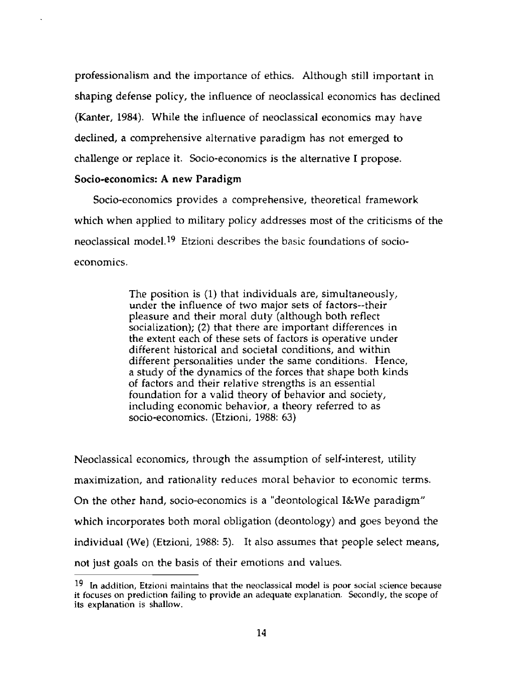professionalism **and** the importance of ethics. Although still important in shaping defense **poiicy,** the influence of neoclassical economics has declined **(Kanter,** 1984). While **the** influence of neoclassical economics may have declined, a comprehensive alternative paradigm has not emerged to challenge or replace it. Socio-economics is the alternative I propose.

## **Socio-economics: A new Paradigm**

Socio-economics provides a comprehensive, theoretical framework which when applied to military policy addresses most of the criticisms of the neoclassical model.19 Etzioni describes the basic foundations of socioeconomics.

> The position is (1) that individuals are, simultaneously, under the influence of **two** major **sets** of factors--their pleasure and their moral duty (although both reflect socialization); **(2)** that there **are** important differences in **the** extent each of these sets of factors is operative under different historical and societal conditions, and within different personalities under the same conditions. Hence, a study of the dynamics of the forces that shape both kinds of factors and their relative strengths is an essential foundation for a valid theory of behavior and society, including economic behavior, a theory referred to as socio-economics. (Etzioni, **1988:** *63)*

Neoclassical economics, through the assumption of self-interest, utility maximization, and rationality reduces moral behavior to economic terms. On the other hand, socio-economics is a "deontological I&We paradigm" **which** incorporates both moral obligation (deontology) and goes beyond the individual (We) (Etzioni, 1988: *5).* It also assumes that people select means, not just goals on the basis of their emotions and values.

**l9 In addition, Etzioni** maintains **that the neoclassical model is poor social science** because **it focuses** on **prediction failing to provide an adequate explanation.** Secondly, **the** *scope* **of its explanation is shallow.**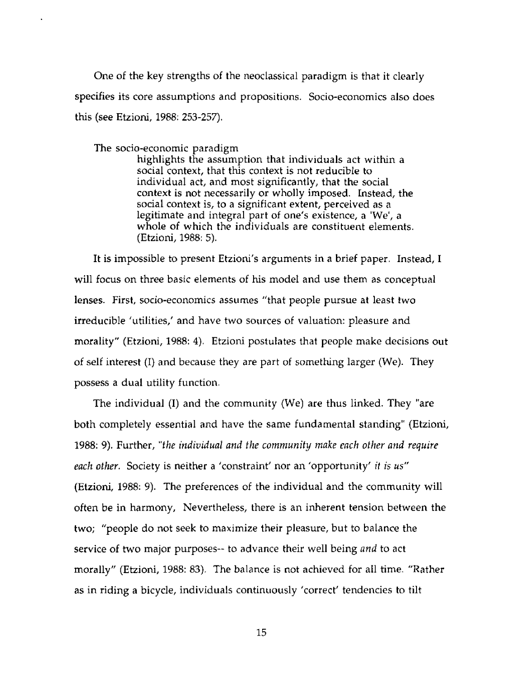One **of** the **key** strengths of **the** neoclassical paradigm is that it clearly **specifies** its core assumptions and propositions. Socio-economics also does this (see Etzioni, 1988: **253-257).** 

The socio-economic paradigm

highlights the assumption that individuals act within a social context, that this context is not reducible to individual act, and most significantly, that the social **context** is not necessarily or wholly imposed. Instead, the social context is, to a significant extent, **perceived** as a legitimate and integral part of one's existence, a 'We', a whole of which the individuals are constituent elements. (Etzioni, 1988: 5).

It is impossible to present Etzioni's arguments in a brief paper. Instead, I will focus on three basic elements of his model and **use** them as conceptual **lenses.** First, socio-economics assumes "that people pursue at least two irreducible 'utilities,' and have two sources of valuation: pleasure and morality" (Etzioni, 1988: **4).** Etzioni postulates that people make decisions out of self interest (I) and because they are part of something larger (We). They possess a dual utility function.

The individual (I) and the community (We) **are** thus **linked.** They "are both completely essential and have the same fundamental standing" (Etzioni, **1988: 9).** Further, **"the** *individual* and **the** *communify make mch other* **nnd** *require each other.* Society is neither a 'constraint' nor an 'opportunity' it is **us" (Etzioni,** 1988: 9). The preferences of the individual and the community will often be in harmony, Nevertheless, there is an inherent tension between the two; **"people** do not **seek** to maximize their pleasure, but to balance the service of two major purposes-- to advance their **well** being *and* to **act**  morally" (Etzioni, 1988: 83). The balance is not achieved for all time. "Rather as in riding a bicycle, individuals continuously 'correct' tendencies to tilt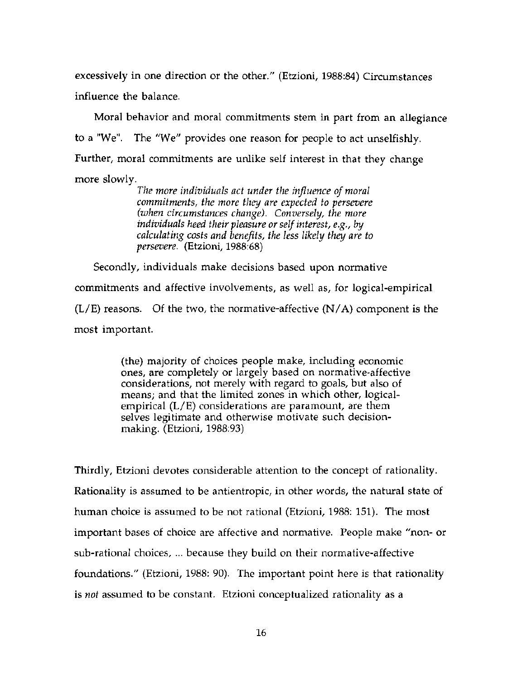excessively in one direction or the other." (Etzioni, 1988:84) Circumstances influence the balance.

Moral behavior and moral commitments stem in part from an allegiance to a "We". The "We" provides one reason for people to act unselfishly. Further, moral commitments are unlike self interest in that they change more slowly.

> The more individuals act under the influence of moral commitments, the more they are expected to persevere (when circumstances change). Conversely, the more individuals heed their pleasure or self interest, e.g., by calculating costs and benefits, the less likely they are to persevere. (Etzioni, 1988:68)

Secondly, individuals make decisions based upon normative commitments and affective involvements, as well as, for logical-empirical  $(L/E)$  reasons. Of the two, the normative-affective  $(N/A)$  component is the most important.

> (the) majority of choices people make, including economic ones, are completely or largely based on normative-affective considerations, not merely with regard to goals, but also of means; and that the limited zones in which other, logicalempirical  $(L/E)$  considerations are paramount, are them selves legitimate and otherwise motivate such decisionmaking. (Etzioni, 1988:93)

Thirdly, Etzioni devotes considerable attention to the concept of rationality. Rationality is assumed to be antientropic, in other words, the natural state of human choice is assumed to be not rational (Etzioni, 1988: 151). The most important bases of choice are affective and normative. People make "non- or sub-rational choices, ... because they build on their normative-affective foundations." (Etzioni, 1988: 90). The important point here is that rationality is not assumed to be constant. Etzioni conceptualized rationality as a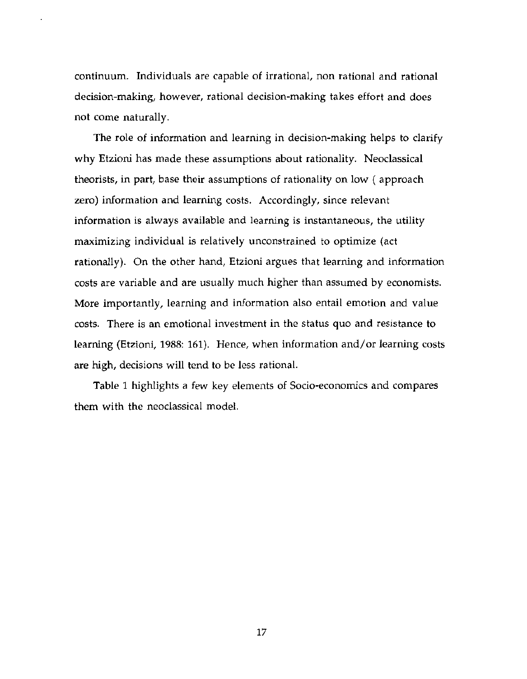continuum. Individuals are capable of irrational, non rational and rational decision-making, however, rational decision-making takes effort and does not come naturally.

The role of information and learning in decision-making helps to clarify why Etzioni has made these assumptions about rationality. Neoclassical theorists, in part, base their assumptions of rationality on low (approach zero) information and learning costs. Accordingly, since relevant information is always available and learning is instantaneous, the utility maximizing individual is relatively unconstrained to optimize (act) rationally). On the other hand, Etzioni argues that learning and information costs are variable and are usually much higher than assumed by economists. More importantly, learning and information also entail emotion and value costs. There is an emotional investment in the status quo and resistance to learning (Etzioni, 1988: 161). Hence, when information and/or learning costs are high, decisions will tend to be less rational.

Table 1 highlights a few key elements of Socio-economics and compares them with the neoclassical model.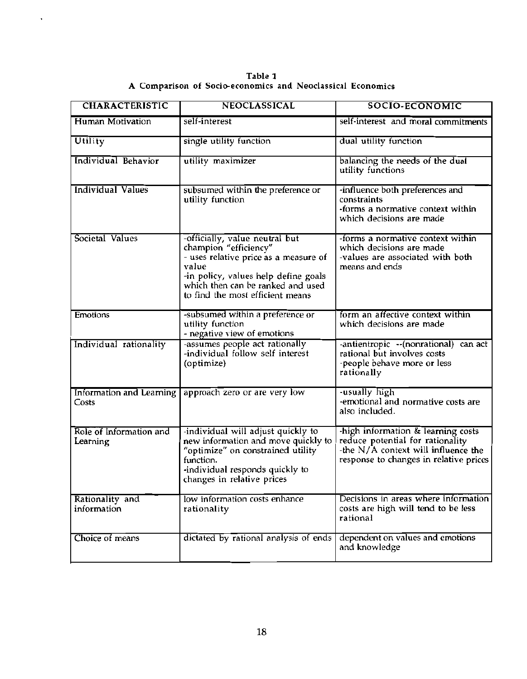Table 1<br>A Comparison of Socio-economics and Neoclassical Economics

 $\,$ 

| <b>CHARACTERISTIC</b>               | <b>NEOCLASSICAL</b>                                                                                                                                                                                                        | <b>SOCIO-ECONOMIC</b>                                                                                                                                   |
|-------------------------------------|----------------------------------------------------------------------------------------------------------------------------------------------------------------------------------------------------------------------------|---------------------------------------------------------------------------------------------------------------------------------------------------------|
| Human Motivation                    | self-interest                                                                                                                                                                                                              | self-interest and moral commitments                                                                                                                     |
| Utility                             | single utility function                                                                                                                                                                                                    | dual utility function                                                                                                                                   |
| Individual Behavior                 | utility maximizer                                                                                                                                                                                                          | balancing the needs of the dual<br>utility functions                                                                                                    |
| <b>Individual Values</b>            | subsumed within the preference or<br>utility function                                                                                                                                                                      | -influence both preferences and<br>constraints<br>-forms a normative context within<br>which decisions are made                                         |
| Societal Values                     | -officially, value neutral but<br>champion "efficiency"<br>- uses relative price as a measure of<br>value<br>-in policy, values help define goals<br>which then can be ranked and used<br>to find the most efficient means | -forms a normative context within<br>which decisions are made<br>-values are associated with both<br>means and ends                                     |
| <b>Emotions</b>                     | -subsumed within a preference or<br>utility function<br>- negative view of emotions                                                                                                                                        | form an affective context within<br>which decisions are made                                                                                            |
| Individual rationality              | -assumes people act rationally<br>-individual follow self interest<br>(optimize)                                                                                                                                           | -antientropic --(nonrational) can act<br>rational but involves costs<br>-people behave more or less<br>rationally                                       |
| Information and Learning<br>Costs   | approach zero or are very low                                                                                                                                                                                              | -usually high<br>-emotional and normative costs are<br>also included.                                                                                   |
| Role of Information and<br>Learning | -individual will adjust quickly to<br>new information and move quickly to<br>"optimize" on constrained utility<br>function.<br>-individual responds quickly to<br>changes in relative prices                               | -high information & learning costs<br>reduce potential for rationality<br>-the N/A context will influence the<br>response to changes in relative prices |
| Rationality and<br>information      | low information costs enhance<br>rationality                                                                                                                                                                               | Decisions in areas where information<br>costs are high will tend to be less<br>rational                                                                 |
| Choice of means                     | dictated by rational analysis of ends                                                                                                                                                                                      | dependent on values and emotions<br>and knowledge                                                                                                       |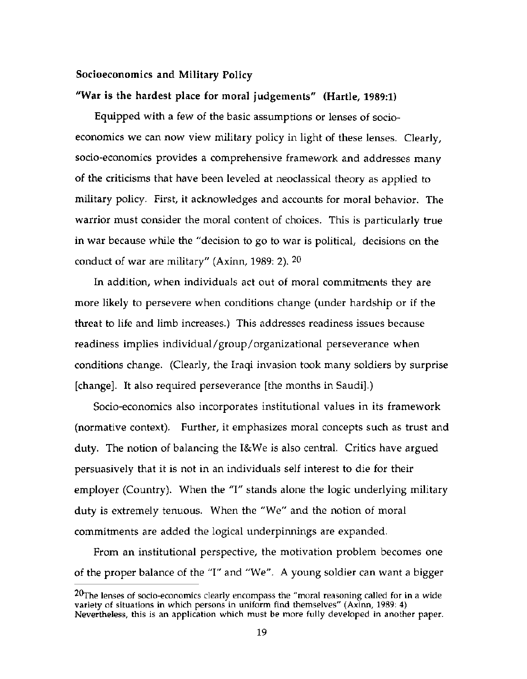## Socioeconomics and Military Policy

## "War is the hardest place for moral judgements" (Hartle, 1989:1)

Equipped with a few of the basic assumptions or lenses of socioeconomics we can now view military policy in light of these lenses. Clearly, socio-economics provides a comprehensive framework and addresses many of the criticisms that have been leveled at neoclassical theory as applied to military policy. First, it acknowledges and accounts for moral behavior. The warrior must consider the moral content of choices. This is particularly true in war because while the "decision to go to war is political, decisions on the conduct of war are military" (Axinn, 1989: 2).  $20$ 

In addition, when individuals act out of moral commitments they are more likely to persevere when conditions change (under hardship or if the threat to life and limb increases.) This addresses readiness issues because readiness implies individual/group/organizational perseverance when conditions change. (Clearly, the Iraqi invasion took many soldiers by surprise (change). It also required perseverance [the months in Saudi].)

Socio-economics also incorporates institutional values in its framework (normative context). Further, it emphasizes moral concepts such as trust and duty. The notion of balancing the I&We is also central. Critics have argued persuasively that it is not in an individuals self interest to die for their employer (Country). When the "I" stands alone the logic underlying military duty is extremely tenuous. When the "We" and the notion of moral commitments are added the logical underpinnings are expanded.

From an institutional perspective, the motivation problem becomes one of the proper balance of the "I" and "We". A young soldier can want a bigger

 $20$ The lenses of socio-economics clearly encompass the "moral reasoning called for in a wide variety of situations in which persons in uniform find themselves" (Axinn, 1989: 4) Nevertheless, this is an application which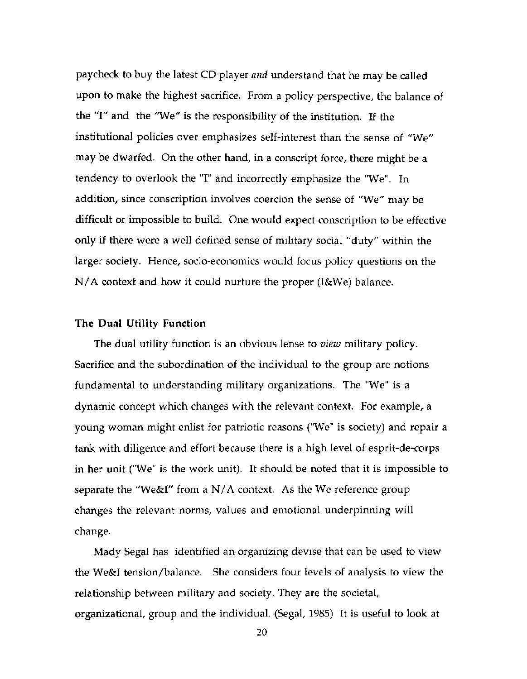paycheck to buy the latest CD player and understand that he may be called upon to make the highest sacrifice. From a policy perspective, the balance of the "I" and the "We" is the responsibility of the institution. If the institutional policies over emphasizes self-interest than the sense of "We" may be dwarfed. On the other hand, in a conscript force, there might be a tendency to overlook the "I" and incorrectly emphasize the "We". In addition, since conscription involves coercion the sense of "We" may be difficult or impossible to build. One would expect conscription to be effective only if there were a well defined sense of military social "duty" within the larger society. Hence, socio-economics would focus policy questions on the  $N/A$  context and how it could nurture the proper (I&We) balance.

#### The Dual Utility Function

The dual utility function is an obvious lense to view military policy. Sacrifice and the subordination of the individual to the group are notions fundamental to understanding military organizations. The "We" is a dynamic concept which changes with the relevant context. For example, a young woman might enlist for patriotic reasons ("We" is society) and repair a tank with diligence and effort because there is a high level of esprit-de-corps in her unit ("We" is the work unit). It should be noted that it is impossible to separate the "We&I" from a N/A context. As the We reference group changes the relevant norms, values and emotional underpinning will change.

Mady Segal has identified an organizing devise that can be used to view the We&I tension/balance. She considers four levels of analysis to view the relationship between military and society. They are the societal, organizational, group and the individual. (Segal, 1985) It is useful to look at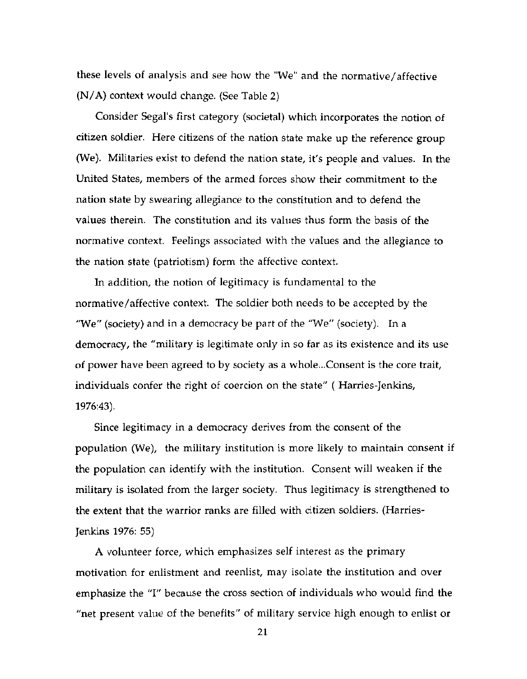these levels of analysis and see how the "We" and the normative/affective (N/A) context would change. (See Table 2)

Consider Segal's first category (societal) which incorporates the notion of citizen soldier. Here citizens of the nation state make up the reference group (We). Militaries exist to defend the nation state, it's people and values. In the United States, members of the armed forces show their commitment to the nation state by swearing allegiance to the constitution and to defend the values therein. The constitution and its values thus form the basis of the normative context. Feelings associated with the values and the allegiance to the nation state (patriotism) form the affective context.

In addition, the notion of legitimacy is fundamental to the normative/affective context. The soldier both needs to be accepted by the "We" (society) and in a democracy be part of the "We" (society). In a democracy, the "military is legitimate only in so far as its existence and its use of power have been agreed to by society as a whole...Consent is the core trait, individuals confer the right of coercion on the state" (Harries-Jenkins, 1976:43).

Since legitimacy in a democracy derives from the consent of the population (We), the military institution is more likely to maintain consent if the population can identify with the institution. Consent will weaken if the military is isolated from the larger society. Thus legitimacy is strengthened to the extent that the warrior ranks are filled with citizen soldiers. (Harries-Jenkins 1976: 55)

A volunteer force, which emphasizes self interest as the primary motivation for enlistment and reenlist, may isolate the institution and over emphasize the "I" because the cross section of individuals who would find the "net present value of the benefits" of military service high enough to enlist or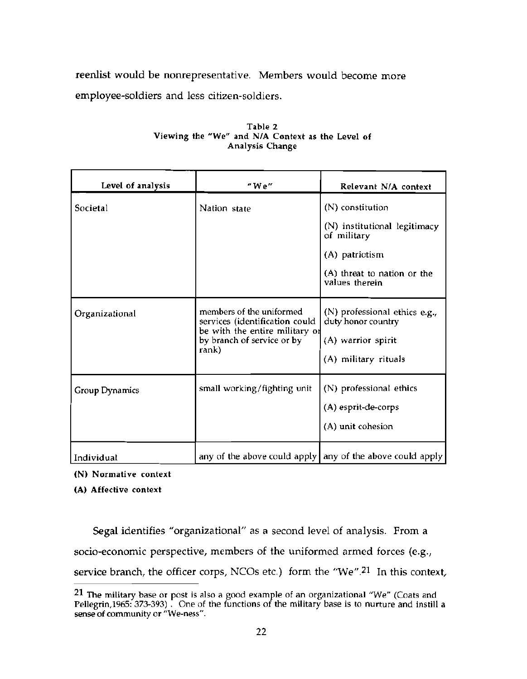reenlist would be nonrepresentative. Members would become more employee-soldiers and less citizen-soldiers.

| Level of analysis | "We"                                                                                                                                | Relevant N/A context                                                                                                               |
|-------------------|-------------------------------------------------------------------------------------------------------------------------------------|------------------------------------------------------------------------------------------------------------------------------------|
| Societal          | Nation state                                                                                                                        | (N) constitution<br>(N) institutional legitimacy<br>of military<br>(A) patriotism<br>(A) threat to nation or the<br>values therein |
| Organizational    | members of the uniformed<br>services (identification could<br>be with the entire military of<br>by branch of service or by<br>rank) | (N) professional ethics e.g.,<br>duty honor country<br>(A) warrior spirit<br>(A) military rituals                                  |
| Group Dynamics    | small working/fighting unit                                                                                                         | (N) professional ethics<br>(A) esprit-de-corps<br>(A) unit cohesion                                                                |
| Individual        |                                                                                                                                     | any of the above could apply any of the above could apply                                                                          |

#### Table 2 Viewing the "We" and N/A Context as the Level of Analysis Change

(N) Normative context

(A) Affective context

Segal identifies "organizational" as a second level of analysis. From a socio-economic perspective, members of the uniformed armed forces (e.g., service branch, the officer corps, NCOs etc.) form the "We".<sup>21</sup> In this context,

<sup>21</sup> The military base or post is also a good example of an organizational "We" (Coats and Pellegrin, 1965: 373-393). One of the functions of the military base is to nurture and instill a sense of community or "We-ness".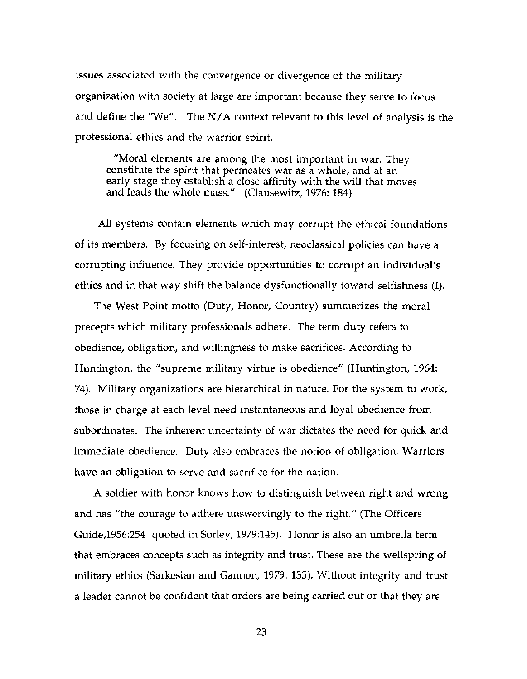issues associated with the convergence or divergence of the military organization with society at large are important because they serve to focus and define the "We". The  $N/A$  context relevant to this level of analysis is the professional ethics and the warrior spirit.

"Moral elements are among the most important in war. They constitute the spirit that permeates war as a whole, and at an early stage they establish a close affinity with the will that moves and leads the whole mass." (Clausewitz, 1976: 184)

All systems contain elements which may corrupt the ethical foundations of its members. By focusing on self-interest, neoclassical policies can have a corrupting influence. They provide opportunities to corrupt an individual's ethics and in that way shift the balance dysfunctionally toward selfishness (I).

The West Point motto (Duty, Honor, Country) summarizes the moral precepts which military professionals adhere. The term duty refers to obedience, obligation, and willingness to make sacrifices. According to Huntington, the "supreme military virtue is obedience" (Huntington, 1964: 74). Military organizations are hierarchical in nature. For the system to work, those in charge at each level need instantaneous and loyal obedience from subordinates. The inherent uncertainty of war dictates the need for quick and immediate obedience. Duty also embraces the notion of obligation. Warriors have an obligation to serve and sacrifice for the nation.

A soldier with honor knows how to distinguish between right and wrong and has "the courage to adhere unswervingly to the right." (The Officers Guide, 1956: 254 quoted in Sorley, 1979: 145). Honor is also an umbrella term that embraces concepts such as integrity and trust. These are the wellspring of military ethics (Sarkesian and Gannon, 1979: 135). Without integrity and trust a leader cannot be confident that orders are being carried out or that they are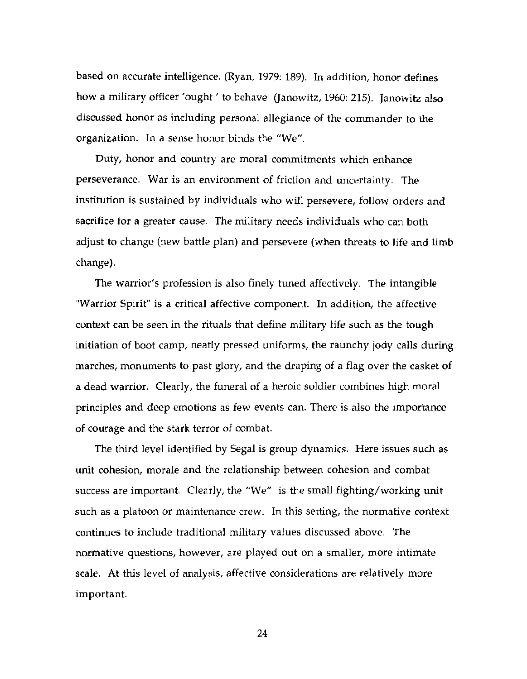based on accurate intelligence. (Ryan, 1979: 189). In addition, honor defines how a military officer 'ought' to behave (Janowitz, 1960: 215). Janowitz also discussed honor as including personal allegiance of the commander to the organization. In a sense honor binds the "We".

Duty, honor and country are moral commitments which enhance perseverance. War is an environment of friction and uncertainty. The institution is sustained by individuals who will persevere, follow orders and sacrifice for a greater cause. The military needs individuals who can both adjust to change (new battle plan) and persevere (when threats to life and limb change).

The warrior's profession is also finely tuned affectively. The intangible "Warrior Spirit" is a critical affective component. In addition, the affective context can be seen in the rituals that define military life such as the tough initiation of boot camp, neatly pressed uniforms, the raunchy jody calls during marches, monuments to past glory, and the draping of a flag over the casket of a dead warrior. Clearly, the funeral of a heroic soldier combines high moral principles and deep emotions as few events can. There is also the importance of courage and the stark terror of combat.

The third level identified by Segal is group dynamics. Here issues such as unit cohesion, morale and the relationship between cohesion and combat success are important. Clearly, the "We" is the small fighting/working unit such as a platoon or maintenance crew. In this setting, the normative context continues to include traditional military values discussed above. The normative questions, however, are played out on a smaller, more intimate scale. At this level of analysis, affective considerations are relatively more important.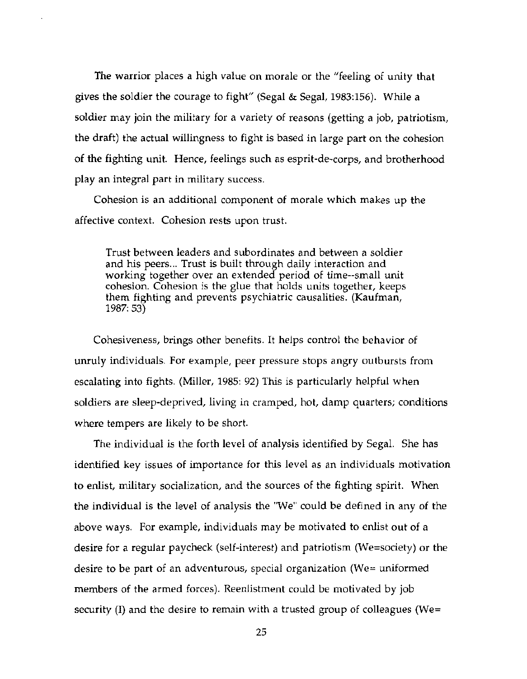The warrior places a high value on morale or the "feeling of unity that gives the soldier the courage to fight" (Segal & Segal, 1983:156). While a soldier may join the military for a variety of reasons (getting a job, patriotism, the draft) the actual willingness to fight is based in large part on the cohesion of the fighting unit. Hence, feelings such as esprit-de-corps, and brotherhood play an integral part in military success.

Cohesion is an additional component of morale which makes up the affective context. Cohesion rests upon trust.

Trust between leaders and subordinates and between a soldier and his peers... Trust is built through daily interaction and working together over an extended period of time--small unit cohesion. Cohesion is the glue that holds units together, keeps them fighting and prevents psychiatric causalities. (Kaufman,  $1987:53$ 

Cohesiveness, brings other benefits. It helps control the behavior of unruly individuals. For example, peer pressure stops angry outbursts from escalating into fights. (Miller, 1985: 92) This is particularly helpful when soldiers are sleep-deprived, living in cramped, hot, damp quarters; conditions where tempers are likely to be short.

The individual is the forth level of analysis identified by Segal. She has identified key issues of importance for this level as an individuals motivation to enlist, military socialization, and the sources of the fighting spirit. When the individual is the level of analysis the "We" could be defined in any of the above ways. For example, individuals may be motivated to enlist out of a desire for a regular paycheck (self-interest) and patriotism (We=society) or the desire to be part of an adventurous, special organization (We= uniformed members of the armed forces). Reenlistment could be motivated by job security (I) and the desire to remain with a trusted group of colleagues (We=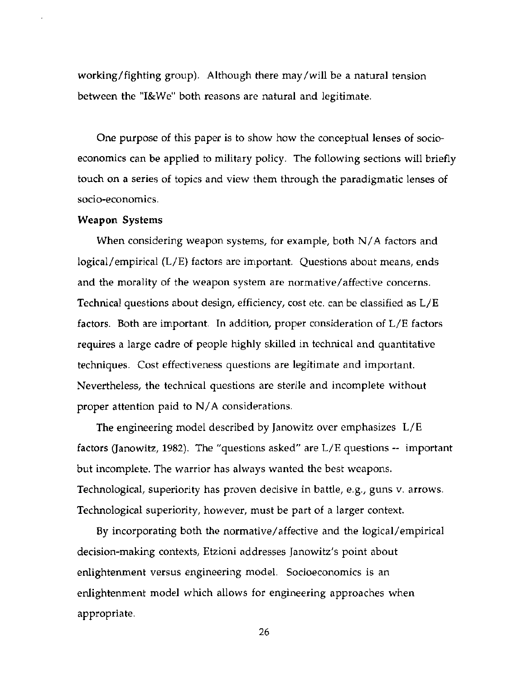working/fighting group). Although there may/will be a natural tension between the "I&We" both reasons are natural and legitimate.

One purpose of this paper is to show how the conceptual lenses of socioeconomics can be applied to military policy. The following sections will briefly touch on a series of topics and view them through the paradigmatic lenses of socio-economics.

#### **Weapon Systems**

When considering weapon systems, for example, both  $N/A$  factors and logical/empirical (L/E) factors are important. Questions about means, ends and the morality of the weapon system are normative/affective concerns. Technical questions about design, efficiency, cost etc. can be classified as L/E factors. Both are important. In addition, proper consideration of L/E factors requires a large cadre of people highly skilled in technical and quantitative techniques. Cost effectiveness questions are legitimate and important. Nevertheless, the technical questions are sterile and incomplete without proper attention paid to  $N/A$  considerations.

The engineering model described by Janowitz over emphasizes L/E factors (Janowitz, 1982). The "questions asked" are  $L/E$  questions  $-$  important but incomplete. The warrior has always wanted the best weapons. Technological, superiority has proven decisive in battle, e.g., guns v. arrows. Technological superiority, however, must be part of a larger context.

By incorporating both the normative/affective and the logical/empirical decision-making contexts, Etzioni addresses Janowitz's point about enlightenment versus engineering model. Socioeconomics is an enlightenment model which allows for engineering approaches when appropriate.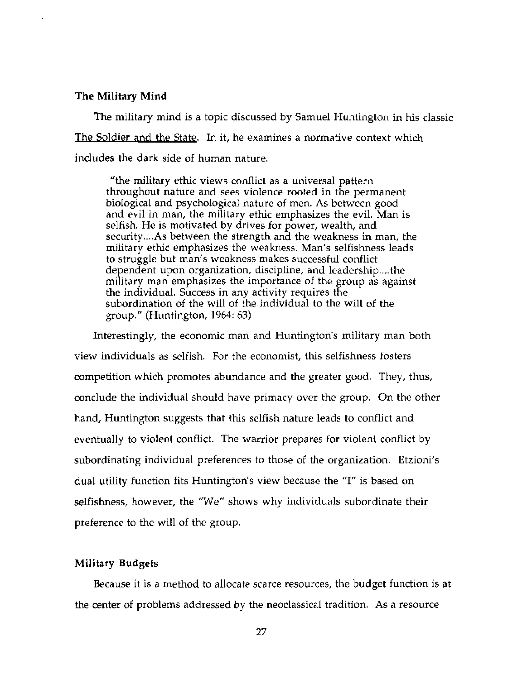#### The Military Mind

The military mind is a topic discussed by Samuel Huntington in his classic The Soldier and the State. In it, he examines a normative context which includes the dark side of human nature.

"the military ethic views conflict as a universal pattern throughout nature and sees violence rooted in the permanent biological and psychological nature of men. As between good and evil in man, the military ethic emphasizes the evil. Man is selfish. He is motivated by drives for power, wealth, and security....As between the strength and the weakness in man, the military ethic emphasizes the weakness. Man's selfishness leads to struggle but man's weakness makes successful conflict dependent upon organization, discipline, and leadership....the military man emphasizes the importance of the group as against the individual. Success in any activity requires the subordination of the will of the individual to the will of the group." (Huntington,  $1964:63$ )

Interestingly, the economic man and Huntington's military man both view individuals as selfish. For the economist, this selfishness fosters competition which promotes abundance and the greater good. They, thus, conclude the individual should have primacy over the group. On the other hand, Huntington suggests that this selfish nature leads to conflict and eventually to violent conflict. The warrior prepares for violent conflict by subordinating individual preferences to those of the organization. Etzioni's dual utility function fits Huntington's view because the "I" is based on selfishness, however, the "We" shows why individuals subordinate their preference to the will of the group.

## **Military Budgets**

Because it is a method to allocate scarce resources, the budget function is at the center of problems addressed by the neoclassical tradition. As a resource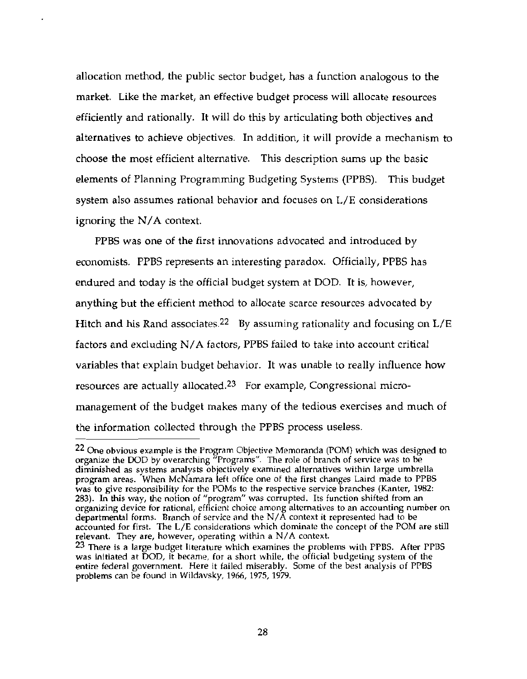allocation method, the public sector budget, has a function analogous to the market. Like the market, an effective budget process will allocate resources efficiently and rationally. It will do this by articulating both objectives and alternatives to achieve objectives. In addition, it will provide a mechanism to choose the most efficient alternative. This description sums up the basic elements of Planning Programming Budgeting Systems (PPBS). This budget system also assumes rational behavior and focuses on L/E considerations ignoring the  $N/A$  context.

PPBS was one of the first innovations advocated and introduced by economists. PPBS represents an interesting paradox. Officially, PPBS has endured and today is the official budget system at DOD. It is, however, anything but the efficient method to allocate scarce resources advocated by Hitch and his Rand associates.<sup>22</sup> By assuming rationality and focusing on  $L/E$ factors and excluding N/A factors, PPBS failed to take into account critical variables that explain budget behavior. It was unable to really influence how resources are actually allocated.<sup>23</sup> For example, Congressional micromanagement of the budget makes many of the tedious exercises and much of the information collected through the PPBS process useless.

<sup>&</sup>lt;sup>22</sup> One obvious example is the Program Objective Memoranda (POM) which was designed to organize the DOD by overarching "Programs". The role of branch of service was to be diminished as systems analysts objectively examined alternatives within large umbrella program areas. When McNamara left office one of the first changes Laird made to PPBS was to give responsibility for the POMs to the respective service branches (Kanter, 1982; 283). In this way, the notion of "program" was corrupted. Its function shifted from an organizing device for rational, efficient choice among alternatives to an accounting number on departmental forms. Branch of service and the  $N/\overline{A}$  context it represented had to be accounted for first. The L/E considerations which dominate the concept of the POM are still relevant. They are, however, operating within a N/A context.

<sup>&</sup>lt;sup>23</sup> There is a large budget literature which examines the problems with PPBS. After PPBS was initiated at DOD, it became, for a short while, the official budgeting system of the entire federal government. Here it failed miserably. Some of the best analysis of PPBS problems can be found in Wildavsky, 1966, 1975, 1979.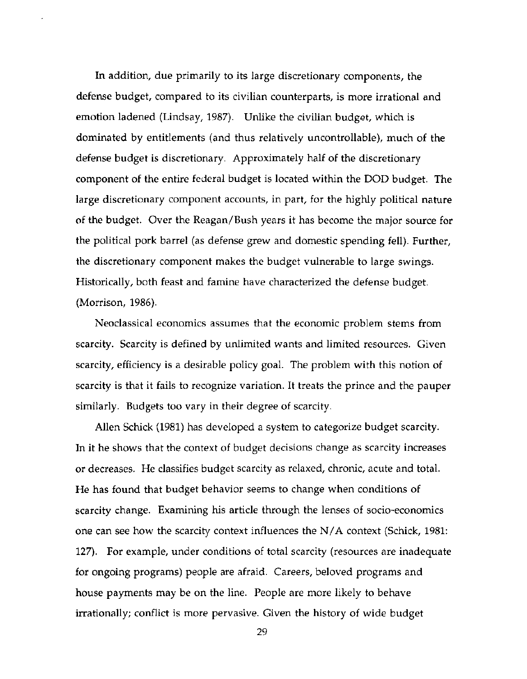In addition, due primarily to its large discretionary components, the defense budget, compared to its civilian counterparts, is more irrational and emotion ladened (Lindsay, 1987). Unlike the civilian budget, which is dominated by entitlements (and thus relatively uncontrollable), much of the defense budget is discretionary. Approximately half of the discretionary component of the entire federal budget is located within the DOD budget. The large discretionary component accounts, in part, for the highly political nature of the budget. Over the Reagan/Bush years it has become the major source for the political pork barrel (as defense grew and domestic spending fell). Further, the discretionary component makes the budget vulnerable to large swings. Historically, both feast and famine have characterized the defense budget. (Morrison, 1986).

Neoclassical economics assumes that the economic problem stems from scarcity. Scarcity is defined by unlimited wants and limited resources. Given scarcity, efficiency is a desirable policy goal. The problem with this notion of scarcity is that it fails to recognize variation. It treats the prince and the pauper similarly. Budgets too vary in their degree of scarcity.

Allen Schick (1981) has developed a system to categorize budget scarcity. In it he shows that the context of budget decisions change as scarcity increases or decreases. He classifies budget scarcity as relaxed, chronic, acute and total. He has found that budget behavior seems to change when conditions of scarcity change. Examining his article through the lenses of socio-economics one can see how the scarcity context influences the  $N/A$  context (Schick, 1981: 127). For example, under conditions of total scarcity (resources are inadequate for ongoing programs) people are afraid. Careers, beloved programs and house payments may be on the line. People are more likely to behave irrationally; conflict is more pervasive. Given the history of wide budget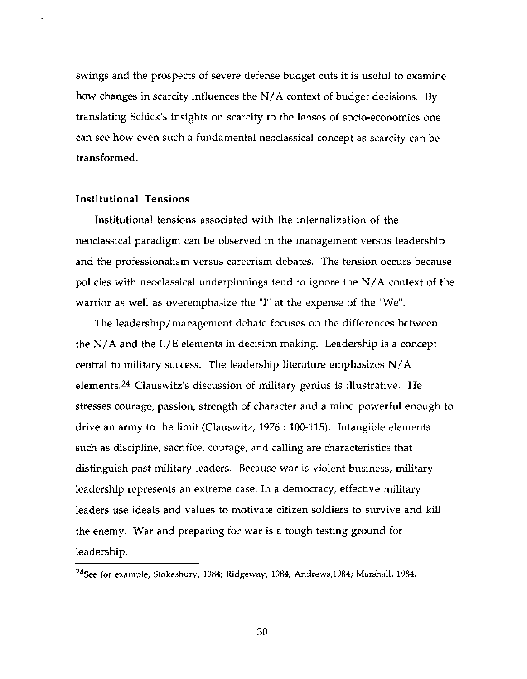swings and the prospects of severe defense budget cuts it is useful to examine how changes in scarcity influences the  $N/A$  context of budget decisions. By translating Schick's insights on scarcity to the lenses of socio-economics one can see how even such a fundamental neoclassical concept as scarcity can be transformed.

## **Institutional Tensions**

Institutional tensions associated with the internalization of the neoclassical paradigm can be observed in the management versus leadership and the professionalism versus careerism debates. The tension occurs because policies with neoclassical underpinnings tend to ignore the  $N/A$  context of the warrior as well as overemphasize the "I" at the expense of the "We".

The leadership/management debate focuses on the differences between the  $N/A$  and the  $L/E$  elements in decision making. Leadership is a concept central to military success. The leadership literature emphasizes N/A elements.<sup>24</sup> Clauswitz's discussion of military genius is illustrative. He stresses courage, passion, strength of character and a mind powerful enough to drive an army to the limit (Clauswitz,  $1976 : 100-115$ ). Intangible elements such as discipline, sacrifice, courage, and calling are characteristics that distinguish past military leaders. Because war is violent business, military leadership represents an extreme case. In a democracy, effective military leaders use ideals and values to motivate citizen soldiers to survive and kill the enemy. War and preparing for war is a tough testing ground for leadership.

<sup>&</sup>lt;sup>24</sup>See for example, Stokesbury, 1984; Ridgeway, 1984; Andrews, 1984; Marshall, 1984.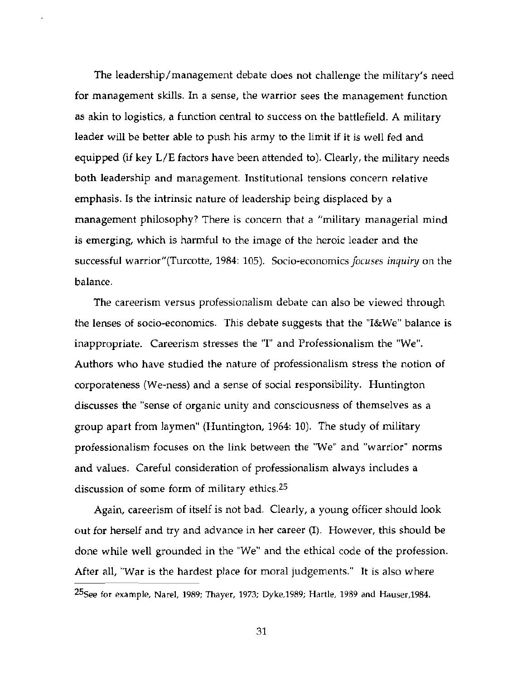The leadership/management debate does not challenge the military's need for management skills. In a sense, the warrior sees the management function as akin to logistics, a function central to success on the battlefield. A military leader will be better able to push his army to the limit if it is well fed and equipped (if key  $L/E$  factors have been attended to). Clearly, the military needs both leadership and management. Institutional tensions concern relative emphasis. Is the intrinsic nature of leadership being displaced by a management philosophy? There is concern that a "military managerial mind is emerging, which is harmful to the image of the heroic leader and the successful warrior"(Turcotte, 1984: 105). Socio-economics focuses inquiry on the balance.

The careerism versus professionalism debate can also be viewed through the lenses of socio-economics. This debate suggests that the "I&We" balance is inappropriate. Careerism stresses the "I" and Professionalism the "We". Authors who have studied the nature of professionalism stress the notion of corporateness (We-ness) and a sense of social responsibility. Huntington discusses the "sense of organic unity and consciousness of themselves as a group apart from laymen" (Huntington, 1964: 10). The study of military professionalism focuses on the link between the "We" and "warrior" norms and values. Careful consideration of professionalism always includes a discussion of some form of military ethics.<sup>25</sup>

Again, careerism of itself is not bad. Clearly, a young officer should look out for herself and try and advance in her career (I). However, this should be done while well grounded in the "We" and the ethical code of the profession. After all, "War is the hardest place for moral judgements." It is also where

<sup>&</sup>lt;sup>25</sup>See for example, Narel, 1989; Thayer, 1973; Dyke, 1989; Hartle, 1989 and Hauser, 1984.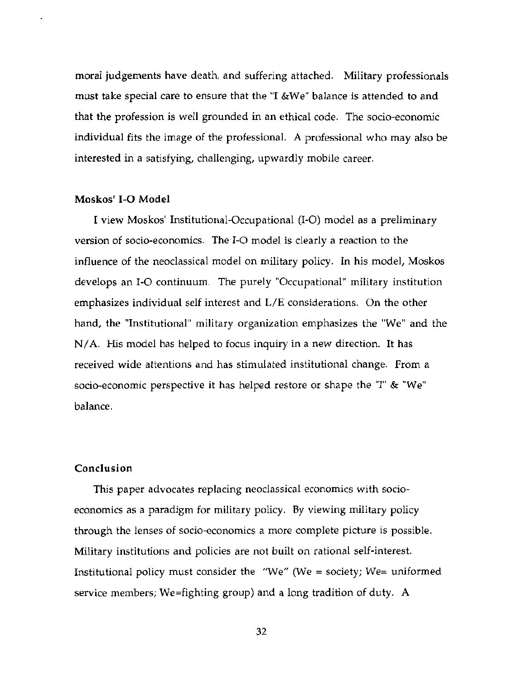moral judgements have death, and suffering attached. Military professionals must take special care to ensure that the "I &We" balance is attended to and that the profession is well grounded in an ethical code. The socio-economic individual fits the image of the professional. A professional who may also be interested in a satisfying, challenging, upwardly mobile career.

## Moskos' I-O Model

I view Moskos' Institutional-Occupational (I-O) model as a preliminary version of socio-economics. The I-O model is clearly a reaction to the influence of the neoclassical model on military policy. In his model, Moskos develops an I-O continuum. The purely "Occupational" military institution emphasizes individual self interest and L/E considerations. On the other hand, the "Institutional" military organization emphasizes the "We" and the N/A. His model has helped to focus inquiry in a new direction. It has received wide attentions and has stimulated institutional change. From a socio-economic perspective it has helped restore or shape the "I" & "We" balance.

## Conclusion

This paper advocates replacing neoclassical economics with socioeconomics as a paradigm for military policy. By viewing military policy through the lenses of socio-economics a more complete picture is possible. Military institutions and policies are not built on rational self-interest. Institutional policy must consider the "We" (We = society; We= uniformed service members; We=fighting group) and a long tradition of duty. A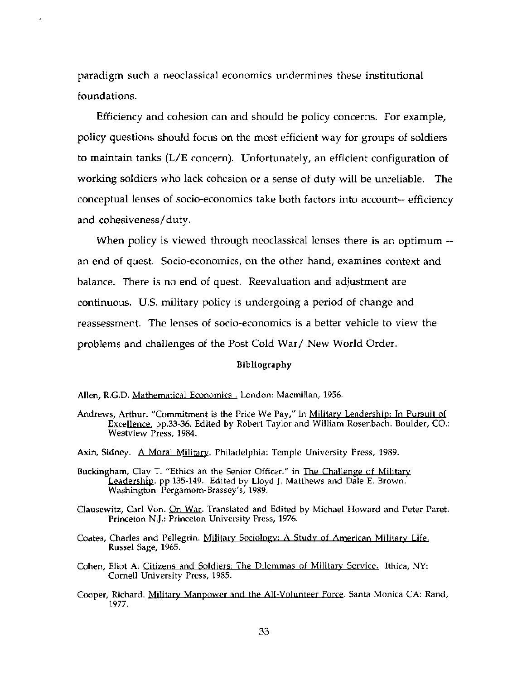paradigm such a neoclassical economics undermines these institutional foundations.

Efficiency and cohesion can and should be policy concerns. For example, policy questions should focus on the most efficient way for groups of soldiers to maintain tanks (L/E concern). Unfortunately, an efficient configuration of working soldiers who lack cohesion or a sense of duty will be unreliable. The conceptual lenses of socio-economics take both factors into account-- efficiency and cohesiveness/duty.

When policy is viewed through neoclassical lenses there is an optimum -an end of quest. Socio-economics, on the other hand, examines context and balance. There is no end of quest. Reevaluation and adjustment are continuous. U.S. military policy is undergoing a period of change and reassessment. The lenses of socio-economics is a better vehicle to view the problems and challenges of the Post Cold War/ New World Order.

#### Bibliography

Andrews, Arthur. "Commitment is the Price We Pay," In Military Leadership: In Pursuit of Excellence, pp.33-36. Edited by Robert Taylor and William Rosenbach. Boulder, CO.: Westview Press, 1984.

- Buckingham, Clay T. "Ethics an the Senior Officer." in The Challenge of Military Leadership. pp.135-149. Edited by Lloyd J. Matthews and Dale E. Brown. Washington: Pergamom-Brassey's, 1989.
- Clausewitz, Carl Von. On War. Translated and Edited by Michael Howard and Peter Paret. Princeton N.J.: Princeton University Press, 1976.
- Coates, Charles and Pellegrin. Military Sociology: A Study of American Military Life. Russel Sage, 1965.
- Cohen, Eliot A. Citizens and Soldiers: The Dilemmas of Military Service. Ithica, NY: Cornell University Press, 1985.
- Cooper, Richard. Military Manpower and the All-Volunteer Force. Santa Monica CA: Rand, 1977.

Allen, R.G.D. Mathematical Economics . London: Macmillan, 1956.

Axin, Sidney. A Moral Military. Philadelphia: Temple University Press, 1989.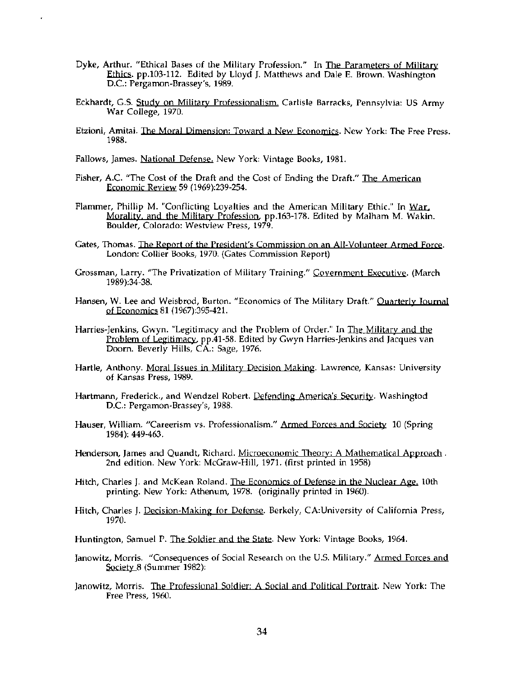- Dyke, Arthur. "Ethical Bases of the Military Profession." In The Parameters of Military Ethics. pp.103-112. Edited by Lloyd J. Matthews and Dale E. Brown. Washington D.C.: Pergamon-Brassey's, 1989.
- Eckhardt, G.S. Study on Military Professionalism. Carlisle Barracks, Pennsylvia: US Army War College, 1970.
- Etzioni, Amitai. The Moral Dimension: Toward a New Economics. New York: The Free Press. 1988.
- Fallows, James. National Defense. New York: Vintage Books, 1981.
- Fisher, A.C. "The Cost of the Draft and the Cost of Ending the Draft." The American Economic Review 59 (1969):239-254.
- Flammer, Phillip M. "Conflicting Loyalties and the American Military Ethic." In War. Morality, and the Military Profession, pp.163-178. Edited by Malham M. Wakin. Boulder, Colorado: Westview Press, 1979.
- Gates, Thomas. The Report of the President's Commission on an All-Volunteer Armed Force. London: Collier Books, 1970. (Gates Commission Report)
- Grossman, Larry. "The Privatization of Military Training." Government Executive. (March 1989):34-38.
- Hansen, W. Lee and Weisbrod, Burton. "Economics of The Military Draft." Quarterly Journal of Economics 81 (1967):395-421.
- Harries-Jenkins, Gwyn. "Legitimacy and the Problem of Order." In The Military and the Problem of Legitimacy, pp.41-58. Edited by Gwyn Harries-Jenkins and Jacques van Doorn. Beverly Hills, CA.: Sage, 1976.
- Hartle, Anthony. Moral Issues in Military Decision Making. Lawrence, Kansas: University of Kansas Press, 1989.
- Hartmann, Frederick., and Wendzel Robert. Defending America's Security. Washingtod D.C.: Pergamon-Brassey's, 1988.
- Hauser, William. "Careerism vs. Professionalism." Armed Forces and Society 10 (Spring 1984): 449-463.
- Henderson, James and Quandt, Richard. Microeconomic Theory: A Mathematical Approach. 2nd edition. New York: McGraw-Hill, 1971. (first printed in 1958)
- Hitch, Charles J. and McKean Roland. The Economics of Defense in the Nuclear Age. 10th printing. New York: Athenum, 1978. (originally printed in 1960).
- Hitch, Charles J. Decision-Making for Defense. Berkely, CA: University of California Press, 1970.
- Huntington, Samuel P. The Soldier and the State. New York: Vintage Books, 1964.
- Janowitz, Morris. "Consequences of Social Research on the U.S. Military." Armed Forces and Society 8 (Summer 1982):
- Janowitz, Morris. The Professional Soldier: A Social and Political Portrait. New York: The Free Press, 1960.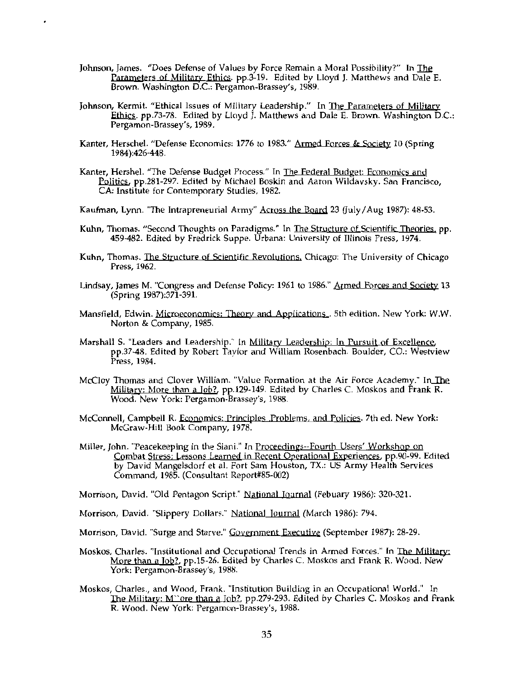Johnson, James. "Does Defense of Values by Force Remain a Moral Possibility?" In The Parameters of Military Ethics. pp.3-19. Edited by Lloyd J. Matthews and Dale E. Brown. Washington D.C.: Pergamon-Brassey's, 1989.

 $\cdot$ 

- Johnson, Kermit. "Ethical Issues of Military Leadership." In The Parameters of Military Ethics. pp.73-78. Edited by Lloyd J. Matthews and Dale E. Brown. Washington D.C.: Pergamon-Brassey's, 1989.
- Kanter, Herschel. "Defense Economics: 1776 to 1983." Armed Forces & Society 10 (Spring 1984):426-448.
- Kanter, Hershel. "The Defense Budget Process." In The Federal Budget: Economics and Politics, pp.281-297. Edited by Michael Boskin and Aaron Wildavsky. San Francisco, CA: Institute for Contemporary Studies, 1982.
- Kaufman, Lynn. "The Intrapreneurial Army" Across the Board 23 (July/Aug 1987): 48-53.
- Kuhn, Thomas. "Second Thoughts on Paradigms." In The Structure of Scientific Theories, pp. 459-482. Edited by Fredrick Suppe. Urbana: University of Illinois Press, 1974.
- Kuhn, Thomas. The Structure of Scientific Revolutions, Chicago: The University of Chicago Press, 1962.
- Lindsay, James M. "Congress and Defense Policy: 1961 to 1986." Armed Forces and Society 13 (Spring 1987):371-391.
- Mansfield, Edwin. Microeconomics: Theory and Applications... 5th edition. New York: W.W. Norton & Company, 1985.
- Marshall S. "Leaders and Leadership." In Military Leadership: In Pursuit of Excellence, pp.37-48. Edited by Robert Taylor and William Rosenbach. Boulder, CO.: Westview Press, 1984.
- McCloy Thomas and Clover William. "Value Formation at the Air Force Academy." In The Military: More than a Job?, pp.129-149. Edited by Charles C. Moskos and Frank R. Wood. New York: Pergamon-Brassey's, 1988.
- McConnell, Campbell R. Economics: Principles Problems, and Policies. 7th ed. New York: McGraw-Hill Book Company, 1978.
- Miller, John. "Peacekeeping in the Siani." In Proceedings--Fourth Users' Workshop on Combat Stress; Lessons Learned in Recent Operational Experiences, pp.90-99. Edited by David Mangelsdorf et al. Fort Sam Houston, TX.: US Army Health Services Command, 1985. (Consultant Report#85-002)

Morrison, David. "Old Pentagon Script." National Journal (Febuary 1986): 320-321.

- Morrison, David. "Slippery Dollars." National Journal (March 1986): 794.
- Morrison, David. "Surge and Starve." Government Executive (September 1987): 28-29.
- Moskos, Charles. "Institutional and Occupational Trends in Armed Forces." In The Military: More than a Job?, pp.15-26. Edited by Charles C. Moskos and Frank R. Wood. New York: Pergamon-Brassey's, 1988.
- Moskos, Charles., and Wood, Frank. "Institution Building in an Occupational World." In The Military: M''ore than a Job?, pp.279-293. Edited by Charles C. Moskos and Frank R. Wood. New York: Pergamon-Brassey's, 1988.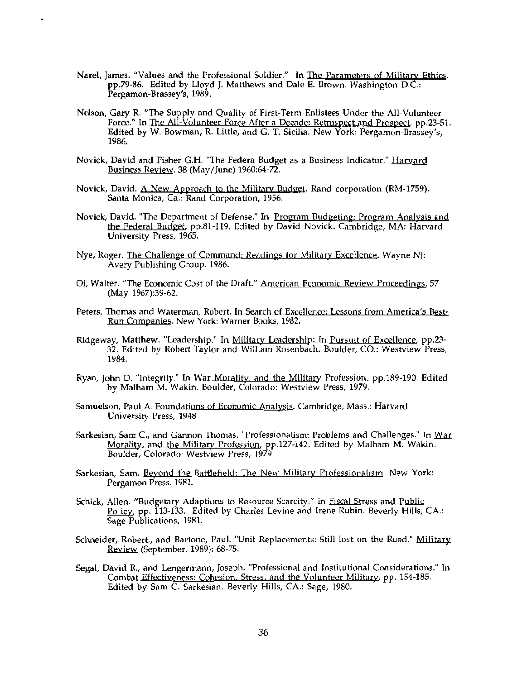- Narel, James. "Values and the Professional Soldier." In The Parameters of Military Ethics. pp.79-86. Edited by Lloyd J. Matthews and Dale E. Brown. Washington D.C.: Pergamon-Brassey's, 1989.
- Nelson, Gary R. "The Supply and Quality of First-Term Enlistees Under the All-Volunteer Force." In The All-Volunteer Force After a Decade: Retrospect and Prospect. pp.23-51. Edited by W. Bowman, R. Little, and G. T. Sicilia. New York: Pergamon-Brassey's, 1986.
- Novick, David and Fisher G.H. "The Federa Budget as a Business Indicator." Harvard Business Review. 38 (May/June) 1960:64-72.
- Novick, David. A New Approach to the Military Budget. Rand corporation (RM-1759). Santa Monica, Ca.: Rand Corporation, 1956.
- Novick, David. "The Department of Defense." In Program Budgeting: Program Analysis and the Federal Budget, pp.81-119. Edited by David Novick. Cambridge, MA: Harvard University Press, 1965.
- Nye, Roger. The Challenge of Command: Readings for Military Excellence. Wayne NJ: Avery Publishing Group. 1986.
- Oi, Walter. "The Economic Cost of the Draft." American Economic Review Proceedings, 57 (May 1967):39-62.
- Peters, Thomas and Waterman, Robert. In Search of Excellence: Lessons from America's Best-Run Companies. New York: Warner Books, 1982.
- Ridgeway, Matthew. "Leadership." In Military Leadership: In Pursuit of Excellence, pp.23-32. Edited by Robert Taylor and William Rosenbach. Boulder, CO.: Westview Press, 1984.
- Ryan, John D. "Integrity." In War Morality, and the Military Profession, pp.189-190. Edited by Malham M. Wakin. Boulder, Colorado: Westview Press, 1979.
- Samuelson, Paul A. Foundations of Economic Analysis. Cambridge, Mass.: Harvard University Press, 1948.
- Sarkesian, Sam C., and Gannon Thomas. "Professionalism: Problems and Challenges." In War Morality, and the Military Profession, pp.127-142. Edited by Malham M. Wakin. Boulder, Colorado: Westview Press, 1979.
- Sarkesian, Sam. Beyond the Battlefield: The New Military Professionalism. New York: Pergamon Press. 1981.
- Schick, Allen. "Budgetary Adaptions to Resource Scarcity." in Fiscal Stress and Public Policy, pp. 113-133. Edited by Charles Levine and Irene Rubin. Beverly Hills, CA.: Sage Publications, 1981.
- Schneider, Robert., and Bartone, Paul. "Unit Replacements: Still lost on the Road." Military Review (September, 1989): 68-75.
- Segal, David R., and Lengermann, Joseph. "Professional and Institutional Considerations." In Combat Effectiveness: Cohesion, Stress, and the Volunteer Military, pp. 154-185. Edited by Sam C. Sarkesian. Beverly Hills, CA.: Sage, 1980.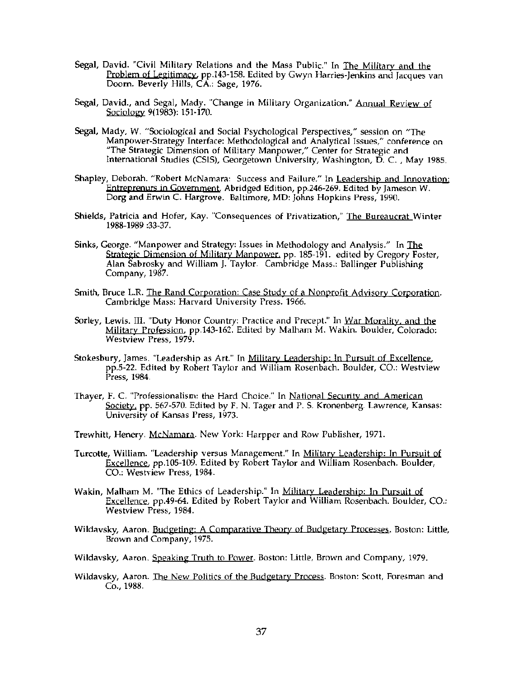- Segal, David. "Civil Military Relations and the Mass Public." In The Military and the Problem of Legitimacy, pp.143-158. Edited by Gwyn Harries-Jenkins and Jacques van Doorn. Beverly Hills, CA.: Sage, 1976.
- Segal, David., and Segal, Mady. "Change in Military Organization." Annual Review of Sociology 9(1983):  $151-170$ .
- Segal, Mady, W. "Sociological and Social Psychological Perspectives," session on "The Manpower-Strategy Interface: Methodological and Analytical Issues," conference on "The Strategic Dimension of Military Manpower," Center for Strategic and International Studies (CSIS), Georgetown University, Washington, D. C., May 1985.
- Shapley, Deborah. "Robert McNamara: Success and Failure." In Leadership and Innovation: Entreprenurs in Government, Abridged Edition, pp.246-269. Edited by Jameson W. Dorg and Erwin C. Hargrove. Baltimore, MD: Johns Hopkins Press, 1990.
- Shields, Patricia and Hofer, Kay. "Consequences of Privatization," The Bureaucrat Winter 1988-1989 :33-37.
- Sinks, George. "Manpower and Strategy: Issues in Methodology and Analysis." In The Strategic Dimension of Military Manpower, pp. 185-191. edited by Gregory Foster, Alan Šabrosky and William J. Taylor. Cambridge Mass.: Ballinger Publishing Company, 1987.
- Smith, Bruce L.R. The Rand Corporation: Case Study of a Nonprofit Advisory Corporation. Cambridge Mass: Harvard University Press. 1966.
- Sorley, Lewis. III. "Duty Honor Country: Practice and Precept." In War Morality, and the Military Profession, pp.143-162. Edited by Malham M. Wakin. Boulder, Colorado: Westview Press, 1979.
- pp.5-22. Edited by Robert Taylor and William Rosenbach. Boulder, CO.: Westview Press, 1984. Stokesbury, James. "Leadership as Art." In Military Leadership: In Pursuit of Excellence,
- Thayer, F. C. "Professionalism: the Hard Choice." In National Security and American Society, pp. 567-570. Edited by F. N. Tager and P. S. Kronenberg. Lawrence, Kansas: University of Kansas Press, 1973.
- Trewhitt, Henery. McNamara. New York: Harpper and Row Publisher, 1971.
- Turcotte, William. "Leadership versus Management." In Military Leadership: In Pursuit of Excellence, pp.105-109. Edited by Robert Taylor and William Rosenbach. Boulder, CO.: Westview Press, 1984.
- Wakin, Malham M. "The Ethics of Leadership." In Military Leadership: In Pursuit of Excellence, pp.49-64. Edited by Robert Taylor and William Rosenbach. Boulder, CO.: Westview Press, 1984.
- Wildavsky, Aaron. Budgeting: A Comparative Theory of Budgetary Processes. Boston: Little, Brown and Company, 1975.
- Wildavsky, Aaron. Speaking Truth to Power. Boston: Little, Brown and Company, 1979.
- Wildavsky, Aaron. The New Politics of the Budgetary Process. Boston: Scott, Foresman and Co., 1988.